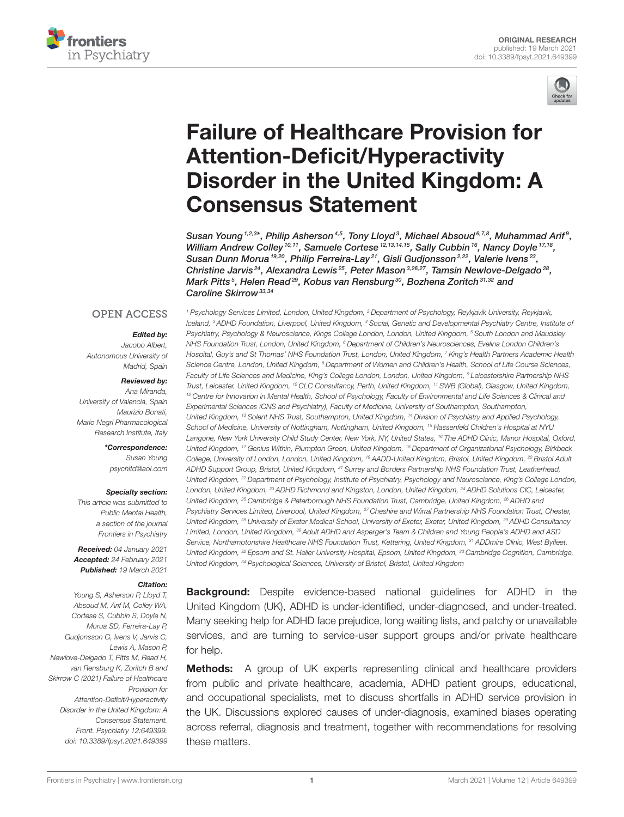



# Failure of Healthcare Provision for Attention-Deficit/Hyperactivity [Disorder in the United Kingdom: A](https://www.frontiersin.org/articles/10.3389/fpsyt.2021.649399/full) Consensus Statement

Susan Young  $^{1,2,3*}$ , Philip Asherson  $^{4,5}$ , Tony Lloyd  $^3$ , Michael Absoud  $^{6,7,8}$ , Muhammad Arif  $^9$ , William Andrew Colley  $^{10,11}$ , Samuele Cortese  $^{12,13,14,15}$ , Sally Cubbin  $^{16}$ , Nancy Doyle  $^{17,18}$ , Susan Dunn Morua <sup>19,20</sup>, Philip Ferreira-Lay<sup>21</sup>, Gisli Gudjonsson<sup>2,22</sup>, Valerie Ivens<sup>23</sup>, Christine Jarvis<sup>24</sup>, Alexandra Lewis<sup>25</sup>, Peter Mason<sup>3,26,27</sup>, Tamsin Newlove-Delgado<sup>28</sup>, Mark Pitts<sup>5</sup>, Helen Read<sup>29</sup>, Kobus van Rensburg<sup>30</sup>, Bozhena Zoritch<sup>31,32</sup> and Caroline Skirrow<sup>33,34</sup>

### **OPEN ACCESS**

### Edited by:

*Jacobo Albert, Autonomous University of Madrid, Spain*

#### Reviewed by:

*Ana Miranda, University of Valencia, Spain Maurizio Bonati, Mario Negri Pharmacological Research Institute, Italy*

> \*Correspondence: *Susan Young [psychltd@aol.com](mailto:psychltd@aol.com)*

### Specialty section:

*This article was submitted to Public Mental Health, a section of the journal Frontiers in Psychiatry*

Received: *04 January 2021* Accepted: *24 February 2021* Published: *19 March 2021*

#### Citation:

*Young S, Asherson P, Lloyd T, Absoud M, Arif M, Colley WA, Cortese S, Cubbin S, Doyle N, Morua SD, Ferreira-Lay P, Gudjonsson G, Ivens V, Jarvis C, Lewis A, Mason P, Newlove-Delgado T, Pitts M, Read H, van Rensburg K, Zoritch B and Skirrow C (2021) Failure of Healthcare Provision for Attention-Deficit/Hyperactivity Disorder in the United Kingdom: A Consensus Statement. Front. Psychiatry 12:649399. doi: [10.3389/fpsyt.2021.649399](https://doi.org/10.3389/fpsyt.2021.649399)*

*<sup>1</sup> Psychology Services Limited, London, United Kingdom, <sup>2</sup> Department of Psychology, Reykjavik University, Reykjavik, Iceland, <sup>3</sup> ADHD Foundation, Liverpool, United Kingdom, <sup>4</sup> Social, Genetic and Developmental Psychiatry Centre, Institute of Psychiatry, Psychology & Neuroscience, Kings College London, London, United Kingdom, <sup>5</sup> South London and Maudsley NHS Foundation Trust, London, United Kingdom, <sup>6</sup> Department of Children's Neurosciences, Evelina London Children's Hospital, Guy's and St Thomas' NHS Foundation Trust, London, United Kingdom, <sup>7</sup> King's Health Partners Academic Health Science Centre, London, United Kingdom, <sup>8</sup> Department of Women and Children's Health, School of Life Course Sciences, Faculty of Life Sciences and Medicine, King's College London, London, United Kingdom, <sup>9</sup> Leicestershire Partnership NHS Trust, Leicester, United Kingdom, <sup>10</sup> CLC Consultancy, Perth, United Kingdom, <sup>11</sup> SWB (Global), Glasgow, United Kingdom, <sup>12</sup> Centre for Innovation in Mental Health, School of Psychology, Faculty of Environmental and Life Sciences & Clinical and Experimental Sciences (CNS and Psychiatry), Faculty of Medicine, University of Southampton, Southampton, United Kingdom, <sup>13</sup> Solent NHS Trust, Southampton, United Kingdom, <sup>14</sup> Division of Psychiatry and Applied Psychology, School of Medicine, University of Nottingham, Nottingham, United Kingdom, <sup>15</sup> Hassenfeld Children's Hospital at NYU Langone, New York University Child Study Center, New York, NY, United States, <sup>16</sup> The ADHD Clinic, Manor Hospital, Oxford, United Kingdom, <sup>17</sup> Genius Within, Plumpton Green, United Kingdom, <sup>18</sup> Department of Organizational Psychology, Birkbeck College, University of London, London, United Kingdom, <sup>19</sup> AADD-United Kingdom, Bristol, United Kingdom, <sup>20</sup> Bristol Adult ADHD Support Group, Bristol, United Kingdom, <sup>21</sup> Surrey and Borders Partnership NHS Foundation Trust, Leatherhead, United Kingdom, <sup>22</sup> Department of Psychology, Institute of Psychiatry, Psychology and Neuroscience, King's College London, London, United Kingdom, <sup>23</sup> ADHD Richmond and Kingston, London, United Kingdom, <sup>24</sup> ADHD Solutions CIC, Leicester, United Kingdom, <sup>25</sup> Cambridge & Peterborough NHS Foundation Trust, Cambridge, United Kingdom, <sup>26</sup> ADHD and Psychiatry Services Limited, Liverpool, United Kingdom, <sup>27</sup> Cheshire and Wirral Partnership NHS Foundation Trust, Chester, United Kingdom, <sup>28</sup> University of Exeter Medical School, University of Exeter, Exeter, United Kingdom, <sup>29</sup> ADHD Consultancy Limited, London, United Kingdom, <sup>30</sup> Adult ADHD and Asperger's Team & Children and Young People's ADHD and ASD Service, Northamptonshire Healthcare NHS Foundation Trust, Kettering, United Kingdom, <sup>31</sup> ADDmire Clinic, West Byfleet, United Kingdom, <sup>32</sup> Epsom and St. Helier University Hospital, Epsom, United Kingdom, <sup>33</sup> Cambridge Cognition, Cambridge, United Kingdom, <sup>34</sup> Psychological Sciences, University of Bristol, Bristol, United Kingdom*

**Background:** Despite evidence-based national guidelines for ADHD in the United Kingdom (UK), ADHD is under-identified, under-diagnosed, and under-treated. Many seeking help for ADHD face prejudice, long waiting lists, and patchy or unavailable services, and are turning to service-user support groups and/or private healthcare for help.

**Methods:** A group of UK experts representing clinical and healthcare providers from public and private healthcare, academia, ADHD patient groups, educational, and occupational specialists, met to discuss shortfalls in ADHD service provision in the UK. Discussions explored causes of under-diagnosis, examined biases operating across referral, diagnosis and treatment, together with recommendations for resolving these matters.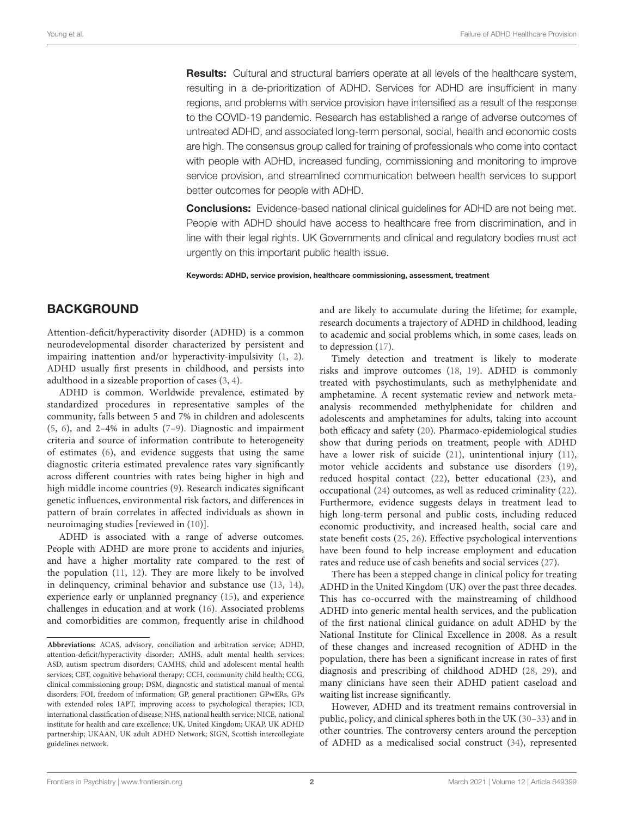**Results:** Cultural and structural barriers operate at all levels of the healthcare system, resulting in a de-prioritization of ADHD. Services for ADHD are insufficient in many regions, and problems with service provision have intensified as a result of the response to the COVID-19 pandemic. Research has established a range of adverse outcomes of untreated ADHD, and associated long-term personal, social, health and economic costs are high. The consensus group called for training of professionals who come into contact with people with ADHD, increased funding, commissioning and monitoring to improve service provision, and streamlined communication between health services to support better outcomes for people with ADHD.

**Conclusions:** Evidence-based national clinical guidelines for ADHD are not being met. People with ADHD should have access to healthcare free from discrimination, and in line with their legal rights. UK Governments and clinical and regulatory bodies must act urgently on this important public health issue.

Keywords: ADHD, service provision, healthcare commissioning, assessment, treatment

### **BACKGROUND**

Attention-deficit/hyperactivity disorder (ADHD) is a common neurodevelopmental disorder characterized by persistent and impairing inattention and/or hyperactivity-impulsivity [\(1,](#page-12-0) [2\)](#page-12-1). ADHD usually first presents in childhood, and persists into adulthood in a sizeable proportion of cases [\(3,](#page-12-2) [4\)](#page-12-3).

ADHD is common. Worldwide prevalence, estimated by standardized procedures in representative samples of the community, falls between 5 and 7% in children and adolescents [\(5,](#page-12-4) [6\)](#page-12-5), and 2–4% in adults [\(7–](#page-12-6)[9\)](#page-12-7). Diagnostic and impairment criteria and source of information contribute to heterogeneity of estimates [\(6\)](#page-12-5), and evidence suggests that using the same diagnostic criteria estimated prevalence rates vary significantly across different countries with rates being higher in high and high middle income countries [\(9\)](#page-12-7). Research indicates significant genetic influences, environmental risk factors, and differences in pattern of brain correlates in affected individuals as shown in neuroimaging studies [reviewed in [\(10\)](#page-12-8)].

ADHD is associated with a range of adverse outcomes. People with ADHD are more prone to accidents and injuries, and have a higher mortality rate compared to the rest of the population [\(11,](#page-12-9) [12\)](#page-12-10). They are more likely to be involved in delinquency, criminal behavior and substance use [\(13,](#page-12-11) [14\)](#page-12-12), experience early or unplanned pregnancy [\(15\)](#page-12-13), and experience challenges in education and at work [\(16\)](#page-12-14). Associated problems and comorbidities are common, frequently arise in childhood and are likely to accumulate during the lifetime; for example, research documents a trajectory of ADHD in childhood, leading to academic and social problems which, in some cases, leads on to depression [\(17\)](#page-12-15).

Timely detection and treatment is likely to moderate risks and improve outcomes [\(18,](#page-12-16) [19\)](#page-12-17). ADHD is commonly treated with psychostimulants, such as methylphenidate and amphetamine. A recent systematic review and network metaanalysis recommended methylphenidate for children and adolescents and amphetamines for adults, taking into account both efficacy and safety [\(20\)](#page-12-18). Pharmaco-epidemiological studies show that during periods on treatment, people with ADHD have a lower risk of suicide [\(21\)](#page-12-19), unintentional injury [\(11\)](#page-12-9), motor vehicle accidents and substance use disorders [\(19\)](#page-12-17), reduced hospital contact [\(22\)](#page-12-20), better educational [\(23\)](#page-12-21), and occupational [\(24\)](#page-12-22) outcomes, as well as reduced criminality [\(22\)](#page-12-20). Furthermore, evidence suggests delays in treatment lead to high long-term personal and public costs, including reduced economic productivity, and increased health, social care and state benefit costs [\(25,](#page-12-23) [26\)](#page-12-24). Effective psychological interventions have been found to help increase employment and education rates and reduce use of cash benefits and social services [\(27\)](#page-12-25).

There has been a stepped change in clinical policy for treating ADHD in the United Kingdom (UK) over the past three decades. This has co-occurred with the mainstreaming of childhood ADHD into generic mental health services, and the publication of the first national clinical guidance on adult ADHD by the National Institute for Clinical Excellence in 2008. As a result of these changes and increased recognition of ADHD in the population, there has been a significant increase in rates of first diagnosis and prescribing of childhood ADHD [\(28,](#page-12-26) [29\)](#page-12-27), and many clinicians have seen their ADHD patient caseload and waiting list increase significantly.

However, ADHD and its treatment remains controversial in public, policy, and clinical spheres both in the UK [\(30](#page-12-28)[–33\)](#page-13-0) and in other countries. The controversy centers around the perception of ADHD as a medicalised social construct [\(34\)](#page-13-1), represented

**Abbreviations:** ACAS, advisory, conciliation and arbitration service; ADHD, attention-deficit/hyperactivity disorder; AMHS, adult mental health services; ASD, autism spectrum disorders; CAMHS, child and adolescent mental health services; CBT, cognitive behavioral therapy; CCH, community child health; CCG, clinical commissioning group; DSM, diagnostic and statistical manual of mental disorders; FOI, freedom of information; GP, general practitioner; GPwERs, GPs with extended roles; IAPT, improving access to psychological therapies; ICD, international classification of disease; NHS, national health service; NICE, national institute for health and care excellence; UK, United Kingdom; UKAP, UK ADHD partnership; UKAAN, UK adult ADHD Network; SIGN, Scottish intercollegiate guidelines network.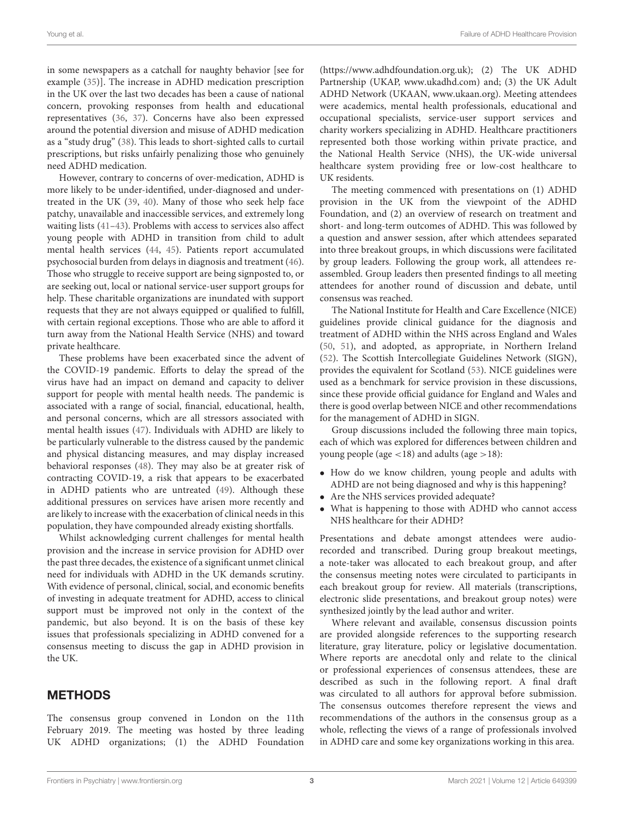in some newspapers as a catchall for naughty behavior [see for example [\(35\)](#page-13-2)]. The increase in ADHD medication prescription in the UK over the last two decades has been a cause of national concern, provoking responses from health and educational representatives [\(36,](#page-13-3) [37\)](#page-13-4). Concerns have also been expressed around the potential diversion and misuse of ADHD medication as a "study drug" [\(38\)](#page-13-5). This leads to short-sighted calls to curtail prescriptions, but risks unfairly penalizing those who genuinely need ADHD medication.

However, contrary to concerns of over-medication, ADHD is more likely to be under-identified, under-diagnosed and undertreated in the UK [\(39,](#page-13-6) [40\)](#page-13-7). Many of those who seek help face patchy, unavailable and inaccessible services, and extremely long waiting lists [\(41–](#page-13-8)[43\)](#page-13-9). Problems with access to services also affect young people with ADHD in transition from child to adult mental health services [\(44,](#page-13-10) [45\)](#page-13-11). Patients report accumulated psychosocial burden from delays in diagnosis and treatment [\(46\)](#page-13-12). Those who struggle to receive support are being signposted to, or are seeking out, local or national service-user support groups for help. These charitable organizations are inundated with support requests that they are not always equipped or qualified to fulfill, with certain regional exceptions. Those who are able to afford it turn away from the National Health Service (NHS) and toward private healthcare.

These problems have been exacerbated since the advent of the COVID-19 pandemic. Efforts to delay the spread of the virus have had an impact on demand and capacity to deliver support for people with mental health needs. The pandemic is associated with a range of social, financial, educational, health, and personal concerns, which are all stressors associated with mental health issues [\(47\)](#page-13-13). Individuals with ADHD are likely to be particularly vulnerable to the distress caused by the pandemic and physical distancing measures, and may display increased behavioral responses [\(48\)](#page-13-14). They may also be at greater risk of contracting COVID-19, a risk that appears to be exacerbated in ADHD patients who are untreated [\(49\)](#page-13-15). Although these additional pressures on services have arisen more recently and are likely to increase with the exacerbation of clinical needs in this population, they have compounded already existing shortfalls.

Whilst acknowledging current challenges for mental health provision and the increase in service provision for ADHD over the past three decades, the existence of a significant unmet clinical need for individuals with ADHD in the UK demands scrutiny. With evidence of personal, clinical, social, and economic benefits of investing in adequate treatment for ADHD, access to clinical support must be improved not only in the context of the pandemic, but also beyond. It is on the basis of these key issues that professionals specializing in ADHD convened for a consensus meeting to discuss the gap in ADHD provision in the UK.

# METHODS

The consensus group convened in London on the 11th February 2019. The meeting was hosted by three leading UK ADHD organizations; (1) the ADHD Foundation [\(https://www.adhdfoundation.org.uk\)](https://www.adhdfoundation.org.uk); (2) The UK ADHD Partnership (UKAP, [www.ukadhd.com\)](http://www.ukadhd.com) and; (3) the UK Adult ADHD Network (UKAAN, [www.ukaan.org\)](http://www.ukaan.org). Meeting attendees were academics, mental health professionals, educational and occupational specialists, service-user support services and charity workers specializing in ADHD. Healthcare practitioners represented both those working within private practice, and the National Health Service (NHS), the UK-wide universal healthcare system providing free or low-cost healthcare to UK residents.

The meeting commenced with presentations on (1) ADHD provision in the UK from the viewpoint of the ADHD Foundation, and (2) an overview of research on treatment and short- and long-term outcomes of ADHD. This was followed by a question and answer session, after which attendees separated into three breakout groups, in which discussions were facilitated by group leaders. Following the group work, all attendees reassembled. Group leaders then presented findings to all meeting attendees for another round of discussion and debate, until consensus was reached.

The National Institute for Health and Care Excellence (NICE) guidelines provide clinical guidance for the diagnosis and treatment of ADHD within the NHS across England and Wales [\(50,](#page-13-16) [51\)](#page-13-17), and adopted, as appropriate, in Northern Ireland [\(52\)](#page-13-18). The Scottish Intercollegiate Guidelines Network (SIGN), provides the equivalent for Scotland [\(53\)](#page-13-19). NICE guidelines were used as a benchmark for service provision in these discussions, since these provide official guidance for England and Wales and there is good overlap between NICE and other recommendations for the management of ADHD in SIGN.

Group discussions included the following three main topics, each of which was explored for differences between children and young people (age  $\langle 18 \rangle$  and adults (age  $>18$ ):

- How do we know children, young people and adults with ADHD are not being diagnosed and why is this happening?
- Are the NHS services provided adequate?
- What is happening to those with ADHD who cannot access NHS healthcare for their ADHD?

Presentations and debate amongst attendees were audiorecorded and transcribed. During group breakout meetings, a note-taker was allocated to each breakout group, and after the consensus meeting notes were circulated to participants in each breakout group for review. All materials (transcriptions, electronic slide presentations, and breakout group notes) were synthesized jointly by the lead author and writer.

Where relevant and available, consensus discussion points are provided alongside references to the supporting research literature, gray literature, policy or legislative documentation. Where reports are anecdotal only and relate to the clinical or professional experiences of consensus attendees, these are described as such in the following report. A final draft was circulated to all authors for approval before submission. The consensus outcomes therefore represent the views and recommendations of the authors in the consensus group as a whole, reflecting the views of a range of professionals involved in ADHD care and some key organizations working in this area.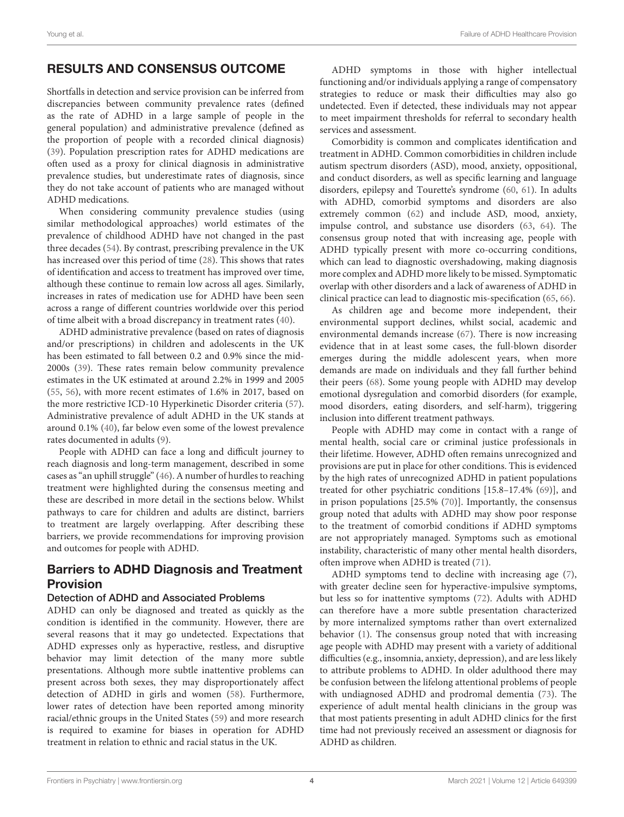# RESULTS AND CONSENSUS OUTCOME

Shortfalls in detection and service provision can be inferred from discrepancies between community prevalence rates (defined as the rate of ADHD in a large sample of people in the general population) and administrative prevalence (defined as the proportion of people with a recorded clinical diagnosis) [\(39\)](#page-13-6). Population prescription rates for ADHD medications are often used as a proxy for clinical diagnosis in administrative prevalence studies, but underestimate rates of diagnosis, since they do not take account of patients who are managed without ADHD medications.

When considering community prevalence studies (using similar methodological approaches) world estimates of the prevalence of childhood ADHD have not changed in the past three decades [\(54\)](#page-13-20). By contrast, prescribing prevalence in the UK has increased over this period of time [\(28\)](#page-12-26). This shows that rates of identification and access to treatment has improved over time, although these continue to remain low across all ages. Similarly, increases in rates of medication use for ADHD have been seen across a range of different countries worldwide over this period of time albeit with a broad discrepancy in treatment rates [\(40\)](#page-13-7).

ADHD administrative prevalence (based on rates of diagnosis and/or prescriptions) in children and adolescents in the UK has been estimated to fall between 0.2 and 0.9% since the mid-2000s [\(39\)](#page-13-6). These rates remain below community prevalence estimates in the UK estimated at around 2.2% in 1999 and 2005 [\(55,](#page-13-21) [56\)](#page-13-22), with more recent estimates of 1.6% in 2017, based on the more restrictive ICD-10 Hyperkinetic Disorder criteria [\(57\)](#page-13-23). Administrative prevalence of adult ADHD in the UK stands at around 0.1% [\(40\)](#page-13-7), far below even some of the lowest prevalence rates documented in adults [\(9\)](#page-12-7).

People with ADHD can face a long and difficult journey to reach diagnosis and long-term management, described in some cases as "an uphill struggle" [\(46\)](#page-13-12). A number of hurdles to reaching treatment were highlighted during the consensus meeting and these are described in more detail in the sections below. Whilst pathways to care for children and adults are distinct, barriers to treatment are largely overlapping. After describing these barriers, we provide recommendations for improving provision and outcomes for people with ADHD.

# Barriers to ADHD Diagnosis and Treatment Provision

### Detection of ADHD and Associated Problems

ADHD can only be diagnosed and treated as quickly as the condition is identified in the community. However, there are several reasons that it may go undetected. Expectations that ADHD expresses only as hyperactive, restless, and disruptive behavior may limit detection of the many more subtle presentations. Although more subtle inattentive problems can present across both sexes, they may disproportionately affect detection of ADHD in girls and women [\(58\)](#page-13-24). Furthermore, lower rates of detection have been reported among minority racial/ethnic groups in the United States [\(59\)](#page-13-25) and more research is required to examine for biases in operation for ADHD treatment in relation to ethnic and racial status in the UK.

ADHD symptoms in those with higher intellectual functioning and/or individuals applying a range of compensatory strategies to reduce or mask their difficulties may also go undetected. Even if detected, these individuals may not appear to meet impairment thresholds for referral to secondary health services and assessment.

Comorbidity is common and complicates identification and treatment in ADHD. Common comorbidities in children include autism spectrum disorders (ASD), mood, anxiety, oppositional, and conduct disorders, as well as specific learning and language disorders, epilepsy and Tourette's syndrome [\(60,](#page-13-26) [61\)](#page-13-27). In adults with ADHD, comorbid symptoms and disorders are also extremely common [\(62\)](#page-13-28) and include ASD, mood, anxiety, impulse control, and substance use disorders [\(63,](#page-13-29) [64\)](#page-13-30). The consensus group noted that with increasing age, people with ADHD typically present with more co-occurring conditions, which can lead to diagnostic overshadowing, making diagnosis more complex and ADHD more likely to be missed. Symptomatic overlap with other disorders and a lack of awareness of ADHD in clinical practice can lead to diagnostic mis-specification [\(65,](#page-13-31) [66\)](#page-14-0).

As children age and become more independent, their environmental support declines, whilst social, academic and environmental demands increase [\(67\)](#page-14-1). There is now increasing evidence that in at least some cases, the full-blown disorder emerges during the middle adolescent years, when more demands are made on individuals and they fall further behind their peers [\(68\)](#page-14-2). Some young people with ADHD may develop emotional dysregulation and comorbid disorders (for example, mood disorders, eating disorders, and self-harm), triggering inclusion into different treatment pathways.

People with ADHD may come in contact with a range of mental health, social care or criminal justice professionals in their lifetime. However, ADHD often remains unrecognized and provisions are put in place for other conditions. This is evidenced by the high rates of unrecognized ADHD in patient populations treated for other psychiatric conditions [15.8–17.4% [\(69\)](#page-14-3)], and in prison populations [25.5% [\(70\)](#page-14-4)]. Importantly, the consensus group noted that adults with ADHD may show poor response to the treatment of comorbid conditions if ADHD symptoms are not appropriately managed. Symptoms such as emotional instability, characteristic of many other mental health disorders, often improve when ADHD is treated [\(71\)](#page-14-5).

ADHD symptoms tend to decline with increasing age [\(7\)](#page-12-6), with greater decline seen for hyperactive-impulsive symptoms, but less so for inattentive symptoms [\(72\)](#page-14-6). Adults with ADHD can therefore have a more subtle presentation characterized by more internalized symptoms rather than overt externalized behavior [\(1\)](#page-12-0). The consensus group noted that with increasing age people with ADHD may present with a variety of additional difficulties (e.g., insomnia, anxiety, depression), and are less likely to attribute problems to ADHD. In older adulthood there may be confusion between the lifelong attentional problems of people with undiagnosed ADHD and prodromal dementia [\(73\)](#page-14-7). The experience of adult mental health clinicians in the group was that most patients presenting in adult ADHD clinics for the first time had not previously received an assessment or diagnosis for ADHD as children.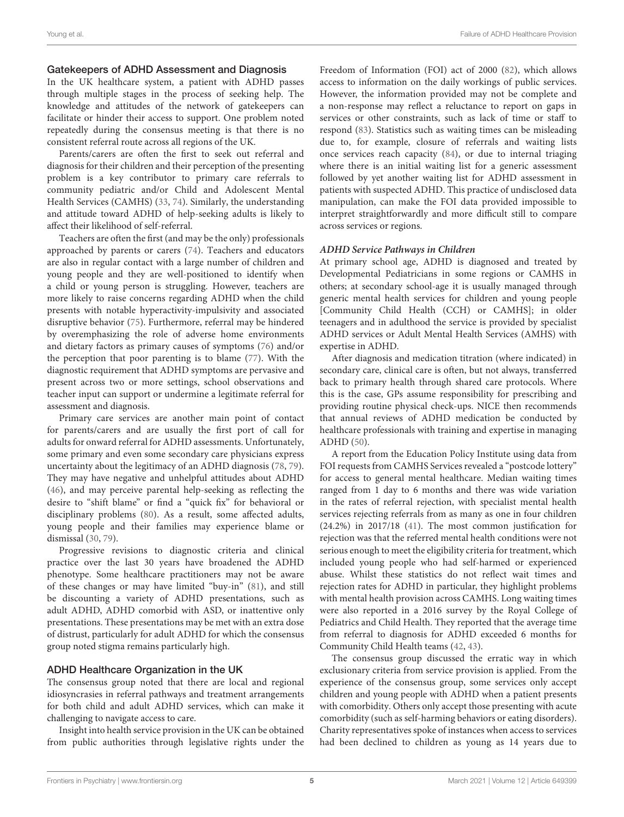### Gatekeepers of ADHD Assessment and Diagnosis

In the UK healthcare system, a patient with ADHD passes through multiple stages in the process of seeking help. The knowledge and attitudes of the network of gatekeepers can facilitate or hinder their access to support. One problem noted repeatedly during the consensus meeting is that there is no consistent referral route across all regions of the UK.

Parents/carers are often the first to seek out referral and diagnosis for their children and their perception of the presenting problem is a key contributor to primary care referrals to community pediatric and/or Child and Adolescent Mental Health Services (CAMHS) [\(33,](#page-13-0) [74\)](#page-14-8). Similarly, the understanding and attitude toward ADHD of help-seeking adults is likely to affect their likelihood of self-referral.

Teachers are often the first (and may be the only) professionals approached by parents or carers [\(74\)](#page-14-8). Teachers and educators are also in regular contact with a large number of children and young people and they are well-positioned to identify when a child or young person is struggling. However, teachers are more likely to raise concerns regarding ADHD when the child presents with notable hyperactivity-impulsivity and associated disruptive behavior [\(75\)](#page-14-9). Furthermore, referral may be hindered by overemphasizing the role of adverse home environments and dietary factors as primary causes of symptoms [\(76\)](#page-14-10) and/or the perception that poor parenting is to blame [\(77\)](#page-14-11). With the diagnostic requirement that ADHD symptoms are pervasive and present across two or more settings, school observations and teacher input can support or undermine a legitimate referral for assessment and diagnosis.

Primary care services are another main point of contact for parents/carers and are usually the first port of call for adults for onward referral for ADHD assessments. Unfortunately, some primary and even some secondary care physicians express uncertainty about the legitimacy of an ADHD diagnosis [\(78,](#page-14-12) [79\)](#page-14-13). They may have negative and unhelpful attitudes about ADHD [\(46\)](#page-13-12), and may perceive parental help-seeking as reflecting the desire to "shift blame" or find a "quick fix" for behavioral or disciplinary problems [\(80\)](#page-14-14). As a result, some affected adults, young people and their families may experience blame or dismissal [\(30,](#page-12-28) [79\)](#page-14-13).

Progressive revisions to diagnostic criteria and clinical practice over the last 30 years have broadened the ADHD phenotype. Some healthcare practitioners may not be aware of these changes or may have limited "buy-in" [\(81\)](#page-14-15), and still be discounting a variety of ADHD presentations, such as adult ADHD, ADHD comorbid with ASD, or inattentive only presentations. These presentations may be met with an extra dose of distrust, particularly for adult ADHD for which the consensus group noted stigma remains particularly high.

### ADHD Healthcare Organization in the UK

The consensus group noted that there are local and regional idiosyncrasies in referral pathways and treatment arrangements for both child and adult ADHD services, which can make it challenging to navigate access to care.

Insight into health service provision in the UK can be obtained from public authorities through legislative rights under the Freedom of Information (FOI) act of 2000 [\(82\)](#page-14-16), which allows access to information on the daily workings of public services. However, the information provided may not be complete and a non-response may reflect a reluctance to report on gaps in services or other constraints, such as lack of time or staff to respond [\(83\)](#page-14-17). Statistics such as waiting times can be misleading due to, for example, closure of referrals and waiting lists once services reach capacity [\(84\)](#page-14-18), or due to internal triaging where there is an initial waiting list for a generic assessment followed by yet another waiting list for ADHD assessment in patients with suspected ADHD. This practice of undisclosed data manipulation, can make the FOI data provided impossible to interpret straightforwardly and more difficult still to compare across services or regions.

### **ADHD Service Pathways in Children**

At primary school age, ADHD is diagnosed and treated by Developmental Pediatricians in some regions or CAMHS in others; at secondary school-age it is usually managed through generic mental health services for children and young people [Community Child Health (CCH) or CAMHS]; in older teenagers and in adulthood the service is provided by specialist ADHD services or Adult Mental Health Services (AMHS) with expertise in ADHD.

After diagnosis and medication titration (where indicated) in secondary care, clinical care is often, but not always, transferred back to primary health through shared care protocols. Where this is the case, GPs assume responsibility for prescribing and providing routine physical check-ups. NICE then recommends that annual reviews of ADHD medication be conducted by healthcare professionals with training and expertise in managing ADHD [\(50\)](#page-13-16).

A report from the Education Policy Institute using data from FOI requests from CAMHS Services revealed a "postcode lottery" for access to general mental healthcare. Median waiting times ranged from 1 day to 6 months and there was wide variation in the rates of referral rejection, with specialist mental health services rejecting referrals from as many as one in four children (24.2%) in 2017/18 [\(41\)](#page-13-8). The most common justification for rejection was that the referred mental health conditions were not serious enough to meet the eligibility criteria for treatment, which included young people who had self-harmed or experienced abuse. Whilst these statistics do not reflect wait times and rejection rates for ADHD in particular, they highlight problems with mental health provision across CAMHS. Long waiting times were also reported in a 2016 survey by the Royal College of Pediatrics and Child Health. They reported that the average time from referral to diagnosis for ADHD exceeded 6 months for Community Child Health teams [\(42,](#page-13-32) [43\)](#page-13-9).

The consensus group discussed the erratic way in which exclusionary criteria from service provision is applied. From the experience of the consensus group, some services only accept children and young people with ADHD when a patient presents with comorbidity. Others only accept those presenting with acute comorbidity (such as self-harming behaviors or eating disorders). Charity representatives spoke of instances when access to services had been declined to children as young as 14 years due to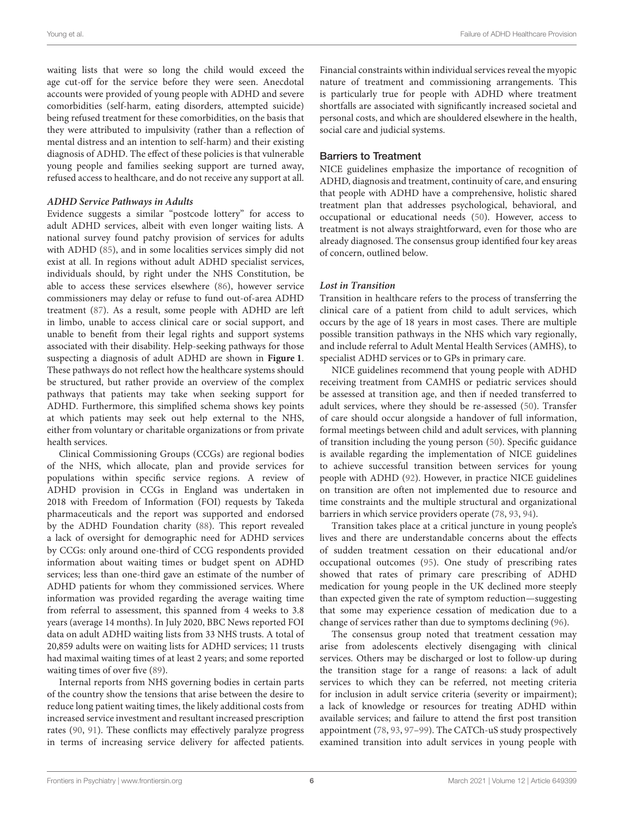waiting lists that were so long the child would exceed the age cut-off for the service before they were seen. Anecdotal accounts were provided of young people with ADHD and severe comorbidities (self-harm, eating disorders, attempted suicide) being refused treatment for these comorbidities, on the basis that they were attributed to impulsivity (rather than a reflection of mental distress and an intention to self-harm) and their existing diagnosis of ADHD. The effect of these policies is that vulnerable young people and families seeking support are turned away, refused access to healthcare, and do not receive any support at all.

### **ADHD Service Pathways in Adults**

Evidence suggests a similar "postcode lottery" for access to adult ADHD services, albeit with even longer waiting lists. A national survey found patchy provision of services for adults with ADHD [\(85\)](#page-14-19), and in some localities services simply did not exist at all. In regions without adult ADHD specialist services, individuals should, by right under the NHS Constitution, be able to access these services elsewhere [\(86\)](#page-14-20), however service commissioners may delay or refuse to fund out-of-area ADHD treatment [\(87\)](#page-14-21). As a result, some people with ADHD are left in limbo, unable to access clinical care or social support, and unable to benefit from their legal rights and support systems associated with their disability. Help-seeking pathways for those suspecting a diagnosis of adult ADHD are shown in **[Figure 1](#page-6-0)**. These pathways do not reflect how the healthcare systems should be structured, but rather provide an overview of the complex pathways that patients may take when seeking support for ADHD. Furthermore, this simplified schema shows key points at which patients may seek out help external to the NHS, either from voluntary or charitable organizations or from private health services.

Clinical Commissioning Groups (CCGs) are regional bodies of the NHS, which allocate, plan and provide services for populations within specific service regions. A review of ADHD provision in CCGs in England was undertaken in 2018 with Freedom of Information (FOI) requests by Takeda pharmaceuticals and the report was supported and endorsed by the ADHD Foundation charity [\(88\)](#page-14-22). This report revealed a lack of oversight for demographic need for ADHD services by CCGs: only around one-third of CCG respondents provided information about waiting times or budget spent on ADHD services; less than one-third gave an estimate of the number of ADHD patients for whom they commissioned services. Where information was provided regarding the average waiting time from referral to assessment, this spanned from 4 weeks to 3.8 years (average 14 months). In July 2020, BBC News reported FOI data on adult ADHD waiting lists from 33 NHS trusts. A total of 20,859 adults were on waiting lists for ADHD services; 11 trusts had maximal waiting times of at least 2 years; and some reported waiting times of over five [\(89\)](#page-14-23).

Internal reports from NHS governing bodies in certain parts of the country show the tensions that arise between the desire to reduce long patient waiting times, the likely additional costs from increased service investment and resultant increased prescription rates [\(90,](#page-14-24) [91\)](#page-14-25). These conflicts may effectively paralyze progress in terms of increasing service delivery for affected patients.

Financial constraints within individual services reveal the myopic nature of treatment and commissioning arrangements. This is particularly true for people with ADHD where treatment shortfalls are associated with significantly increased societal and personal costs, and which are shouldered elsewhere in the health, social care and judicial systems.

### Barriers to Treatment

NICE guidelines emphasize the importance of recognition of ADHD, diagnosis and treatment, continuity of care, and ensuring that people with ADHD have a comprehensive, holistic shared treatment plan that addresses psychological, behavioral, and occupational or educational needs [\(50\)](#page-13-16). However, access to treatment is not always straightforward, even for those who are already diagnosed. The consensus group identified four key areas of concern, outlined below.

### **Lost in Transition**

Transition in healthcare refers to the process of transferring the clinical care of a patient from child to adult services, which occurs by the age of 18 years in most cases. There are multiple possible transition pathways in the NHS which vary regionally, and include referral to Adult Mental Health Services (AMHS), to specialist ADHD services or to GPs in primary care.

NICE guidelines recommend that young people with ADHD receiving treatment from CAMHS or pediatric services should be assessed at transition age, and then if needed transferred to adult services, where they should be re-assessed [\(50\)](#page-13-16). Transfer of care should occur alongside a handover of full information, formal meetings between child and adult services, with planning of transition including the young person [\(50\)](#page-13-16). Specific guidance is available regarding the implementation of NICE guidelines to achieve successful transition between services for young people with ADHD [\(92\)](#page-14-26). However, in practice NICE guidelines on transition are often not implemented due to resource and time constraints and the multiple structural and organizational barriers in which service providers operate [\(78,](#page-14-12) [93,](#page-14-27) [94\)](#page-14-28).

Transition takes place at a critical juncture in young people's lives and there are understandable concerns about the effects of sudden treatment cessation on their educational and/or occupational outcomes [\(95\)](#page-14-29). One study of prescribing rates showed that rates of primary care prescribing of ADHD medication for young people in the UK declined more steeply than expected given the rate of symptom reduction—suggesting that some may experience cessation of medication due to a change of services rather than due to symptoms declining [\(96\)](#page-14-30).

The consensus group noted that treatment cessation may arise from adolescents electively disengaging with clinical services. Others may be discharged or lost to follow-up during the transition stage for a range of reasons: a lack of adult services to which they can be referred, not meeting criteria for inclusion in adult service criteria (severity or impairment); a lack of knowledge or resources for treating ADHD within available services; and failure to attend the first post transition appointment [\(78,](#page-14-12) [93,](#page-14-27) [97](#page-14-31)[–99\)](#page-14-32). The CATCh-uS study prospectively examined transition into adult services in young people with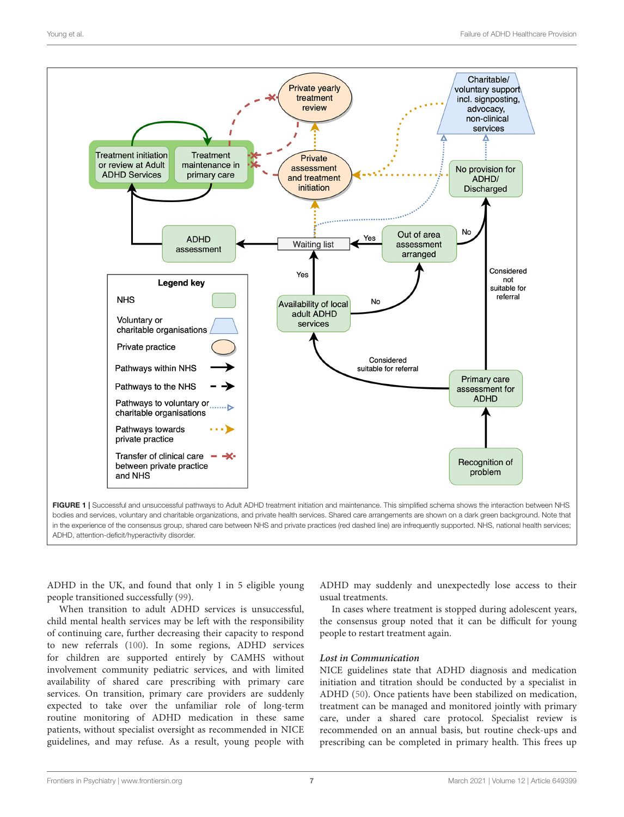

<span id="page-6-0"></span>FIGURE 1 | Successful and unsuccessful pathways to Adult ADHD treatment initiation and maintenance. This simplified schema shows the interaction between NHS bodies and services, voluntary and charitable organizations, and private health services. Shared care arrangements are shown on a dark green background. Note that in the experience of the consensus group, shared care between NHS and private practices (red dashed line) are infrequently supported. NHS, national health services; ADHD, attention-deficit/hyperactivity disorder.

ADHD in the UK, and found that only 1 in 5 eligible young people transitioned successfully [\(99\)](#page-14-32).

When transition to adult ADHD services is unsuccessful, child mental health services may be left with the responsibility of continuing care, further decreasing their capacity to respond to new referrals [\(100\)](#page-14-33). In some regions, ADHD services for children are supported entirely by CAMHS without involvement community pediatric services, and with limited availability of shared care prescribing with primary care services. On transition, primary care providers are suddenly expected to take over the unfamiliar role of long-term routine monitoring of ADHD medication in these same patients, without specialist oversight as recommended in NICE guidelines, and may refuse. As a result, young people with

ADHD may suddenly and unexpectedly lose access to their usual treatments.

In cases where treatment is stopped during adolescent years, the consensus group noted that it can be difficult for young people to restart treatment again.

### **Lost in Communication**

NICE guidelines state that ADHD diagnosis and medication initiation and titration should be conducted by a specialist in ADHD [\(50\)](#page-13-16). Once patients have been stabilized on medication, treatment can be managed and monitored jointly with primary care, under a shared care protocol. Specialist review is recommended on an annual basis, but routine check-ups and prescribing can be completed in primary health. This frees up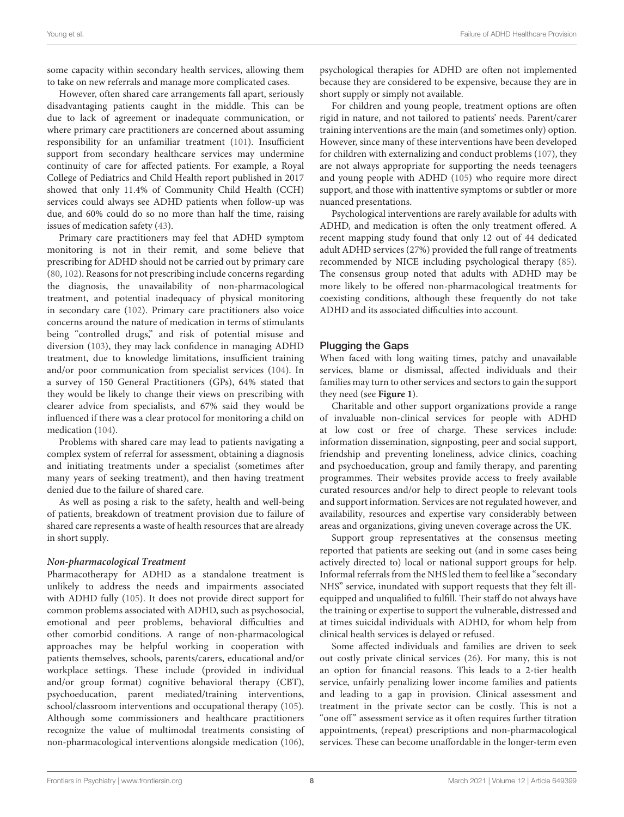some capacity within secondary health services, allowing them to take on new referrals and manage more complicated cases.

However, often shared care arrangements fall apart, seriously disadvantaging patients caught in the middle. This can be due to lack of agreement or inadequate communication, or where primary care practitioners are concerned about assuming responsibility for an unfamiliar treatment [\(101\)](#page-14-34). Insufficient support from secondary healthcare services may undermine continuity of care for affected patients. For example, a Royal College of Pediatrics and Child Health report published in 2017 showed that only 11.4% of Community Child Health (CCH) services could always see ADHD patients when follow-up was due, and 60% could do so no more than half the time, raising issues of medication safety [\(43\)](#page-13-9).

Primary care practitioners may feel that ADHD symptom monitoring is not in their remit, and some believe that prescribing for ADHD should not be carried out by primary care [\(80,](#page-14-14) [102\)](#page-15-0). Reasons for not prescribing include concerns regarding the diagnosis, the unavailability of non-pharmacological treatment, and potential inadequacy of physical monitoring in secondary care [\(102\)](#page-15-0). Primary care practitioners also voice concerns around the nature of medication in terms of stimulants being "controlled drugs," and risk of potential misuse and diversion [\(103\)](#page-15-1), they may lack confidence in managing ADHD treatment, due to knowledge limitations, insufficient training and/or poor communication from specialist services [\(104\)](#page-15-2). In a survey of 150 General Practitioners (GPs), 64% stated that they would be likely to change their views on prescribing with clearer advice from specialists, and 67% said they would be influenced if there was a clear protocol for monitoring a child on medication [\(104\)](#page-15-2).

Problems with shared care may lead to patients navigating a complex system of referral for assessment, obtaining a diagnosis and initiating treatments under a specialist (sometimes after many years of seeking treatment), and then having treatment denied due to the failure of shared care.

As well as posing a risk to the safety, health and well-being of patients, breakdown of treatment provision due to failure of shared care represents a waste of health resources that are already in short supply.

### **Non-pharmacological Treatment**

Pharmacotherapy for ADHD as a standalone treatment is unlikely to address the needs and impairments associated with ADHD fully [\(105\)](#page-15-3). It does not provide direct support for common problems associated with ADHD, such as psychosocial, emotional and peer problems, behavioral difficulties and other comorbid conditions. A range of non-pharmacological approaches may be helpful working in cooperation with patients themselves, schools, parents/carers, educational and/or workplace settings. These include (provided in individual and/or group format) cognitive behavioral therapy (CBT), psychoeducation, parent mediated/training interventions, school/classroom interventions and occupational therapy [\(105\)](#page-15-3). Although some commissioners and healthcare practitioners recognize the value of multimodal treatments consisting of non-pharmacological interventions alongside medication [\(106\)](#page-15-4), psychological therapies for ADHD are often not implemented because they are considered to be expensive, because they are in short supply or simply not available.

For children and young people, treatment options are often rigid in nature, and not tailored to patients' needs. Parent/carer training interventions are the main (and sometimes only) option. However, since many of these interventions have been developed for children with externalizing and conduct problems [\(107\)](#page-15-5), they are not always appropriate for supporting the needs teenagers and young people with ADHD [\(105\)](#page-15-3) who require more direct support, and those with inattentive symptoms or subtler or more nuanced presentations.

Psychological interventions are rarely available for adults with ADHD, and medication is often the only treatment offered. A recent mapping study found that only 12 out of 44 dedicated adult ADHD services (27%) provided the full range of treatments recommended by NICE including psychological therapy [\(85\)](#page-14-19). The consensus group noted that adults with ADHD may be more likely to be offered non-pharmacological treatments for coexisting conditions, although these frequently do not take ADHD and its associated difficulties into account.

### Plugging the Gaps

When faced with long waiting times, patchy and unavailable services, blame or dismissal, affected individuals and their families may turn to other services and sectors to gain the support they need (see **[Figure 1](#page-6-0)**).

Charitable and other support organizations provide a range of invaluable non-clinical services for people with ADHD at low cost or free of charge. These services include: information dissemination, signposting, peer and social support, friendship and preventing loneliness, advice clinics, coaching and psychoeducation, group and family therapy, and parenting programmes. Their websites provide access to freely available curated resources and/or help to direct people to relevant tools and support information. Services are not regulated however, and availability, resources and expertise vary considerably between areas and organizations, giving uneven coverage across the UK.

Support group representatives at the consensus meeting reported that patients are seeking out (and in some cases being actively directed to) local or national support groups for help. Informal referrals from the NHS led them to feel like a "secondary NHS" service, inundated with support requests that they felt illequipped and unqualified to fulfill. Their staff do not always have the training or expertise to support the vulnerable, distressed and at times suicidal individuals with ADHD, for whom help from clinical health services is delayed or refused.

Some affected individuals and families are driven to seek out costly private clinical services [\(26\)](#page-12-24). For many, this is not an option for financial reasons. This leads to a 2-tier health service, unfairly penalizing lower income families and patients and leading to a gap in provision. Clinical assessment and treatment in the private sector can be costly. This is not a "one off" assessment service as it often requires further titration appointments, (repeat) prescriptions and non-pharmacological services. These can become unaffordable in the longer-term even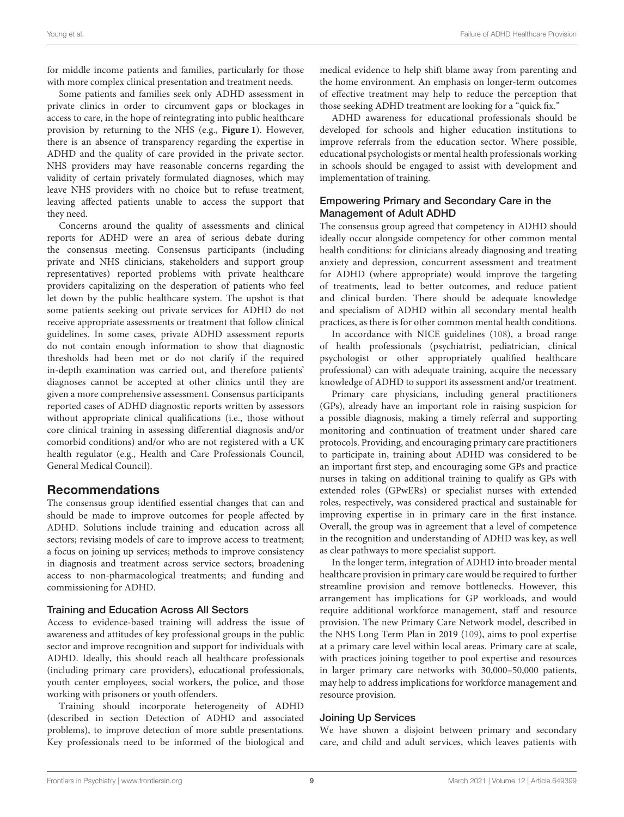for middle income patients and families, particularly for those with more complex clinical presentation and treatment needs.

Some patients and families seek only ADHD assessment in private clinics in order to circumvent gaps or blockages in access to care, in the hope of reintegrating into public healthcare provision by returning to the NHS (e.g., **[Figure 1](#page-6-0)**). However, there is an absence of transparency regarding the expertise in ADHD and the quality of care provided in the private sector. NHS providers may have reasonable concerns regarding the validity of certain privately formulated diagnoses, which may leave NHS providers with no choice but to refuse treatment, leaving affected patients unable to access the support that they need.

Concerns around the quality of assessments and clinical reports for ADHD were an area of serious debate during the consensus meeting. Consensus participants (including private and NHS clinicians, stakeholders and support group representatives) reported problems with private healthcare providers capitalizing on the desperation of patients who feel let down by the public healthcare system. The upshot is that some patients seeking out private services for ADHD do not receive appropriate assessments or treatment that follow clinical guidelines. In some cases, private ADHD assessment reports do not contain enough information to show that diagnostic thresholds had been met or do not clarify if the required in-depth examination was carried out, and therefore patients' diagnoses cannot be accepted at other clinics until they are given a more comprehensive assessment. Consensus participants reported cases of ADHD diagnostic reports written by assessors without appropriate clinical qualifications (i.e., those without core clinical training in assessing differential diagnosis and/or comorbid conditions) and/or who are not registered with a UK health regulator (e.g., Health and Care Professionals Council, General Medical Council).

### Recommendations

The consensus group identified essential changes that can and should be made to improve outcomes for people affected by ADHD. Solutions include training and education across all sectors; revising models of care to improve access to treatment; a focus on joining up services; methods to improve consistency in diagnosis and treatment across service sectors; broadening access to non-pharmacological treatments; and funding and commissioning for ADHD.

### Training and Education Across All Sectors

Access to evidence-based training will address the issue of awareness and attitudes of key professional groups in the public sector and improve recognition and support for individuals with ADHD. Ideally, this should reach all healthcare professionals (including primary care providers), educational professionals, youth center employees, social workers, the police, and those working with prisoners or youth offenders.

Training should incorporate heterogeneity of ADHD (described in section Detection of ADHD and associated problems), to improve detection of more subtle presentations. Key professionals need to be informed of the biological and medical evidence to help shift blame away from parenting and the home environment. An emphasis on longer-term outcomes of effective treatment may help to reduce the perception that those seeking ADHD treatment are looking for a "quick fix."

ADHD awareness for educational professionals should be developed for schools and higher education institutions to improve referrals from the education sector. Where possible, educational psychologists or mental health professionals working in schools should be engaged to assist with development and implementation of training.

### Empowering Primary and Secondary Care in the Management of Adult ADHD

The consensus group agreed that competency in ADHD should ideally occur alongside competency for other common mental health conditions: for clinicians already diagnosing and treating anxiety and depression, concurrent assessment and treatment for ADHD (where appropriate) would improve the targeting of treatments, lead to better outcomes, and reduce patient and clinical burden. There should be adequate knowledge and specialism of ADHD within all secondary mental health practices, as there is for other common mental health conditions.

In accordance with NICE guidelines [\(108\)](#page-15-6), a broad range of health professionals (psychiatrist, pediatrician, clinical psychologist or other appropriately qualified healthcare professional) can with adequate training, acquire the necessary knowledge of ADHD to support its assessment and/or treatment.

Primary care physicians, including general practitioners (GPs), already have an important role in raising suspicion for a possible diagnosis, making a timely referral and supporting monitoring and continuation of treatment under shared care protocols. Providing, and encouraging primary care practitioners to participate in, training about ADHD was considered to be an important first step, and encouraging some GPs and practice nurses in taking on additional training to qualify as GPs with extended roles (GPwERs) or specialist nurses with extended roles, respectively, was considered practical and sustainable for improving expertise in in primary care in the first instance. Overall, the group was in agreement that a level of competence in the recognition and understanding of ADHD was key, as well as clear pathways to more specialist support.

In the longer term, integration of ADHD into broader mental healthcare provision in primary care would be required to further streamline provision and remove bottlenecks. However, this arrangement has implications for GP workloads, and would require additional workforce management, staff and resource provision. The new Primary Care Network model, described in the NHS Long Term Plan in 2019 [\(109\)](#page-15-7), aims to pool expertise at a primary care level within local areas. Primary care at scale, with practices joining together to pool expertise and resources in larger primary care networks with 30,000–50,000 patients, may help to address implications for workforce management and resource provision.

### Joining Up Services

We have shown a disjoint between primary and secondary care, and child and adult services, which leaves patients with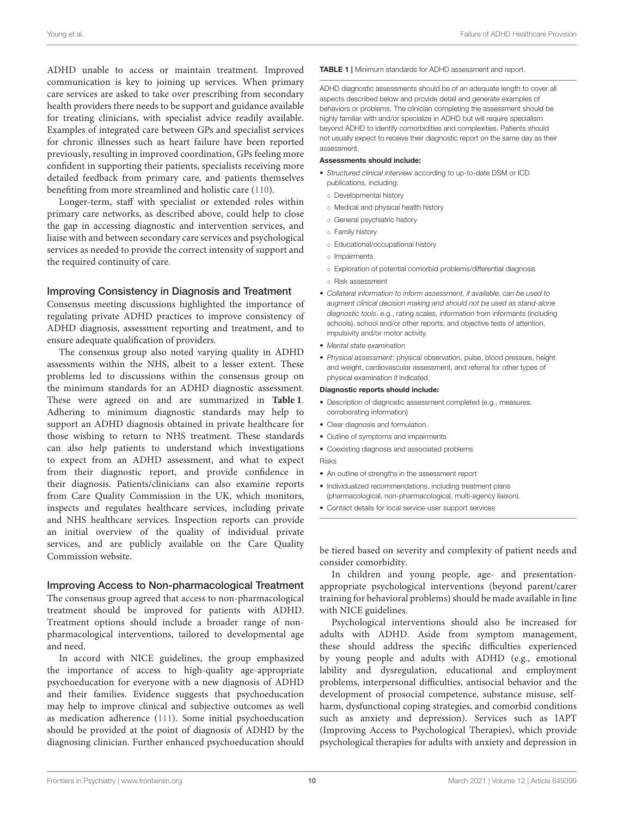ADHD unable to access or maintain treatment. Improved communication is key to joining up services. When primary care services are asked to take over prescribing from secondary health providers there needs to be support and guidance available for treating clinicians, with specialist advice readily available. Examples of integrated care between GPs and specialist services for chronic illnesses such as heart failure have been reported previously, resulting in improved coordination, GPs feeling more confident in supporting their patients, specialists receiving more detailed feedback from primary care, and patients themselves benefiting from more streamlined and holistic care [\(110\)](#page-15-8).

Longer-term, staff with specialist or extended roles within primary care networks, as described above, could help to close the gap in accessing diagnostic and intervention services, and liaise with and between secondary care services and psychological services as needed to provide the correct intensity of support and the required continuity of care.

### Improving Consistency in Diagnosis and Treatment

Consensus meeting discussions highlighted the importance of regulating private ADHD practices to improve consistency of ADHD diagnosis, assessment reporting and treatment, and to ensure adequate qualification of providers.

The consensus group also noted varying quality in ADHD assessments within the NHS, albeit to a lesser extent. These problems led to discussions within the consensus group on the minimum standards for an ADHD diagnostic assessment. These were agreed on and are summarized in **[Table 1](#page-9-0)**. Adhering to minimum diagnostic standards may help to support an ADHD diagnosis obtained in private healthcare for those wishing to return to NHS treatment. These standards can also help patients to understand which investigations to expect from an ADHD assessment, and what to expect from their diagnostic report, and provide confidence in their diagnosis. Patients/clinicians can also examine reports from Care Quality Commission in the UK, which monitors, inspects and regulates healthcare services, including private and NHS healthcare services. Inspection reports can provide an initial overview of the quality of individual private services, and are publicly available on the Care Quality Commission website.

### Improving Access to Non-pharmacological Treatment

The consensus group agreed that access to non-pharmacological treatment should be improved for patients with ADHD. Treatment options should include a broader range of nonpharmacological interventions, tailored to developmental age and need.

In accord with NICE guidelines, the group emphasized the importance of access to high-quality age-appropriate psychoeducation for everyone with a new diagnosis of ADHD and their families. Evidence suggests that psychoeducation may help to improve clinical and subjective outcomes as well as medication adherence [\(111\)](#page-15-9). Some initial psychoeducation should be provided at the point of diagnosis of ADHD by the diagnosing clinician. Further enhanced psychoeducation should

### <span id="page-9-0"></span>TABLE 1 | Minimum standards for ADHD assessment and report.

ADHD diagnostic assessments should be of an adequate length to cover all aspects described below and provide detail and generate examples of behaviors or problems. The clinician completing the assessment should be highly familiar with and/or specialize in ADHD but will require specialism beyond ADHD to identify comorbidities and complexities. Patients should not usually expect to receive their diagnostic report on the same day as their assessment.

### Assessments should include:

- *Structured clinical interview* according to up-to-date DSM or ICD publications, including:
	- Developmental history
	- Medical and physical health history
	- General psychiatric history
	- Family history
	- Educational/occupational history
	- Impairments
	- Exploration of potential comorbid problems/differential diagnosis
	- Risk assessment
- *Collateral information to inform assessment, if available, can be used to augment clinical decision making and should not be used as stand-alone diagnostic tools*. e.g., rating scales, information from informants (including schools), school and/or other reports, and objective tests of attention, impulsivity and/or motor activity.
- *Mental state examination*
- *Physical assessment*: physical observation, pulse, blood pressure, height and weight, cardiovascular assessment, and referral for other types of physical examination if indicated.

### Diagnostic reports should include:

- Description of diagnostic assessment completed (e.g., measures, corroborating information)
- Clear diagnosis and formulation.
- Outline of symptoms and impairments
- Coexisting diagnosis and associated problems Risks
- An outline of strengths in the assessment report
- Individualized recommendations, including treatment plans (pharmacological, non-pharmacological, multi-agency liaison).
- Contact details for local service-user support services

be tiered based on severity and complexity of patient needs and consider comorbidity.

In children and young people, age- and presentationappropriate psychological interventions (beyond parent/carer training for behavioral problems) should be made available in line with NICE guidelines.

Psychological interventions should also be increased for adults with ADHD. Aside from symptom management, these should address the specific difficulties experienced by young people and adults with ADHD (e.g., emotional lability and dysregulation, educational and employment problems, interpersonal difficulties, antisocial behavior and the development of prosocial competence, substance misuse, selfharm, dysfunctional coping strategies, and comorbid conditions such as anxiety and depression). Services such as IAPT (Improving Access to Psychological Therapies), which provide psychological therapies for adults with anxiety and depression in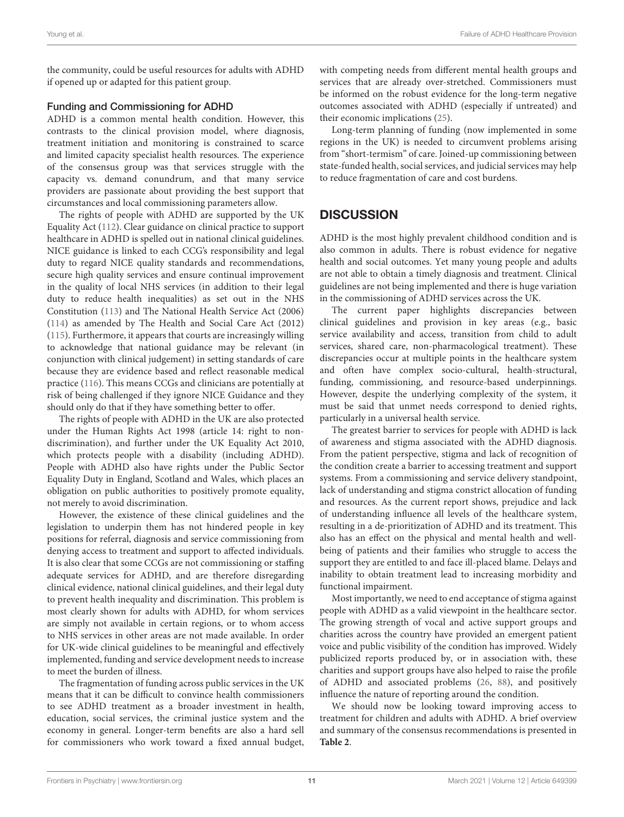the community, could be useful resources for adults with ADHD if opened up or adapted for this patient group.

### Funding and Commissioning for ADHD

ADHD is a common mental health condition. However, this contrasts to the clinical provision model, where diagnosis, treatment initiation and monitoring is constrained to scarce and limited capacity specialist health resources. The experience of the consensus group was that services struggle with the capacity vs. demand conundrum, and that many service providers are passionate about providing the best support that circumstances and local commissioning parameters allow.

The rights of people with ADHD are supported by the UK Equality Act [\(112\)](#page-15-10). Clear guidance on clinical practice to support healthcare in ADHD is spelled out in national clinical guidelines. NICE guidance is linked to each CCG's responsibility and legal duty to regard NICE quality standards and recommendations, secure high quality services and ensure continual improvement in the quality of local NHS services (in addition to their legal duty to reduce health inequalities) as set out in the NHS Constitution [\(113\)](#page-15-11) and The National Health Service Act (2006) [\(114\)](#page-15-12) as amended by The Health and Social Care Act (2012) [\(115\)](#page-15-13). Furthermore, it appears that courts are increasingly willing to acknowledge that national guidance may be relevant (in conjunction with clinical judgement) in setting standards of care because they are evidence based and reflect reasonable medical practice [\(116\)](#page-15-14). This means CCGs and clinicians are potentially at risk of being challenged if they ignore NICE Guidance and they should only do that if they have something better to offer.

The rights of people with ADHD in the UK are also protected under the Human Rights Act 1998 (article 14: right to nondiscrimination), and further under the UK Equality Act 2010, which protects people with a disability (including ADHD). People with ADHD also have rights under the Public Sector Equality Duty in England, Scotland and Wales, which places an obligation on public authorities to positively promote equality, not merely to avoid discrimination.

However, the existence of these clinical guidelines and the legislation to underpin them has not hindered people in key positions for referral, diagnosis and service commissioning from denying access to treatment and support to affected individuals. It is also clear that some CCGs are not commissioning or staffing adequate services for ADHD, and are therefore disregarding clinical evidence, national clinical guidelines, and their legal duty to prevent health inequality and discrimination. This problem is most clearly shown for adults with ADHD, for whom services are simply not available in certain regions, or to whom access to NHS services in other areas are not made available. In order for UK-wide clinical guidelines to be meaningful and effectively implemented, funding and service development needs to increase to meet the burden of illness.

The fragmentation of funding across public services in the UK means that it can be difficult to convince health commissioners to see ADHD treatment as a broader investment in health, education, social services, the criminal justice system and the economy in general. Longer-term benefits are also a hard sell for commissioners who work toward a fixed annual budget, with competing needs from different mental health groups and services that are already over-stretched. Commissioners must be informed on the robust evidence for the long-term negative outcomes associated with ADHD (especially if untreated) and their economic implications [\(25\)](#page-12-23).

Long-term planning of funding (now implemented in some regions in the UK) is needed to circumvent problems arising from "short-termism" of care. Joined-up commissioning between state-funded health, social services, and judicial services may help to reduce fragmentation of care and cost burdens.

# **DISCUSSION**

ADHD is the most highly prevalent childhood condition and is also common in adults. There is robust evidence for negative health and social outcomes. Yet many young people and adults are not able to obtain a timely diagnosis and treatment. Clinical guidelines are not being implemented and there is huge variation in the commissioning of ADHD services across the UK.

The current paper highlights discrepancies between clinical guidelines and provision in key areas (e.g., basic service availability and access, transition from child to adult services, shared care, non-pharmacological treatment). These discrepancies occur at multiple points in the healthcare system and often have complex socio-cultural, health-structural, funding, commissioning, and resource-based underpinnings. However, despite the underlying complexity of the system, it must be said that unmet needs correspond to denied rights, particularly in a universal health service.

The greatest barrier to services for people with ADHD is lack of awareness and stigma associated with the ADHD diagnosis. From the patient perspective, stigma and lack of recognition of the condition create a barrier to accessing treatment and support systems. From a commissioning and service delivery standpoint, lack of understanding and stigma constrict allocation of funding and resources. As the current report shows, prejudice and lack of understanding influence all levels of the healthcare system, resulting in a de-prioritization of ADHD and its treatment. This also has an effect on the physical and mental health and wellbeing of patients and their families who struggle to access the support they are entitled to and face ill-placed blame. Delays and inability to obtain treatment lead to increasing morbidity and functional impairment.

Most importantly, we need to end acceptance of stigma against people with ADHD as a valid viewpoint in the healthcare sector. The growing strength of vocal and active support groups and charities across the country have provided an emergent patient voice and public visibility of the condition has improved. Widely publicized reports produced by, or in association with, these charities and support groups have also helped to raise the profile of ADHD and associated problems [\(26,](#page-12-24) [88\)](#page-14-22), and positively influence the nature of reporting around the condition.

We should now be looking toward improving access to treatment for children and adults with ADHD. A brief overview and summary of the consensus recommendations is presented in **[Table 2](#page-11-0)**.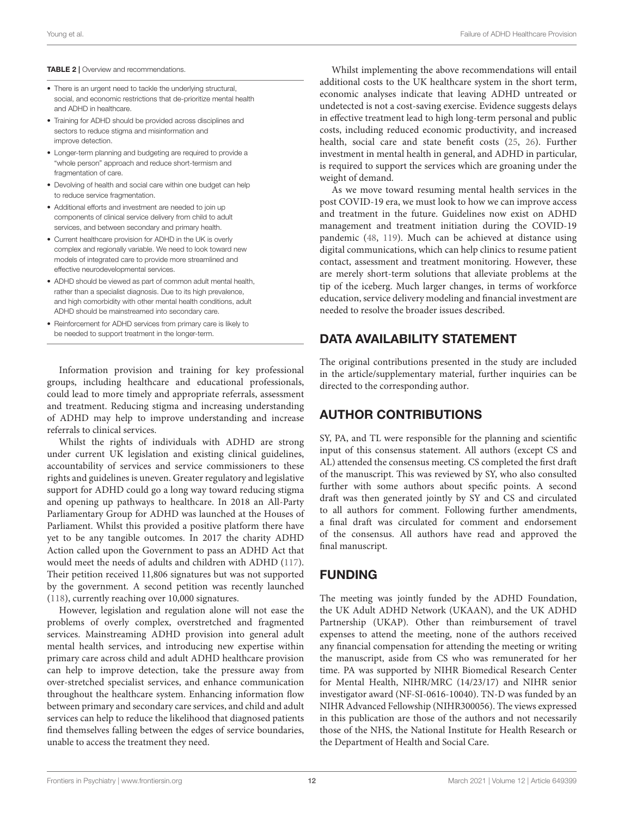### <span id="page-11-0"></span>TABLE 2 | Overview and recommendations.

- There is an urgent need to tackle the underlying structural. social, and economic restrictions that de-prioritize mental health and ADHD in healthcare.
- Training for ADHD should be provided across disciplines and sectors to reduce stigma and misinformation and improve detection.
- Longer-term planning and budgeting are required to provide a "whole person" approach and reduce short-termism and fragmentation of care.
- Devolving of health and social care within one budget can help to reduce service fragmentation.
- Additional efforts and investment are needed to join up components of clinical service delivery from child to adult services, and between secondary and primary health.
- Current healthcare provision for ADHD in the UK is overly complex and regionally variable. We need to look toward new models of integrated care to provide more streamlined and effective neurodevelopmental services.
- ADHD should be viewed as part of common adult mental health, rather than a specialist diagnosis. Due to its high prevalence, and high comorbidity with other mental health conditions, adult ADHD should be mainstreamed into secondary care.
- Reinforcement for ADHD services from primary care is likely to be needed to support treatment in the longer-term.

Information provision and training for key professional groups, including healthcare and educational professionals, could lead to more timely and appropriate referrals, assessment and treatment. Reducing stigma and increasing understanding of ADHD may help to improve understanding and increase referrals to clinical services.

Whilst the rights of individuals with ADHD are strong under current UK legislation and existing clinical guidelines, accountability of services and service commissioners to these rights and guidelines is uneven. Greater regulatory and legislative support for ADHD could go a long way toward reducing stigma and opening up pathways to healthcare. In 2018 an All-Party Parliamentary Group for ADHD was launched at the Houses of Parliament. Whilst this provided a positive platform there have yet to be any tangible outcomes. In 2017 the charity ADHD Action called upon the Government to pass an ADHD Act that would meet the needs of adults and children with ADHD [\(117\)](#page-15-15). Their petition received 11,806 signatures but was not supported by the government. A second petition was recently launched [\(118\)](#page-15-16), currently reaching over 10,000 signatures.

However, legislation and regulation alone will not ease the problems of overly complex, overstretched and fragmented services. Mainstreaming ADHD provision into general adult mental health services, and introducing new expertise within primary care across child and adult ADHD healthcare provision can help to improve detection, take the pressure away from over-stretched specialist services, and enhance communication throughout the healthcare system. Enhancing information flow between primary and secondary care services, and child and adult services can help to reduce the likelihood that diagnosed patients find themselves falling between the edges of service boundaries, unable to access the treatment they need.

Whilst implementing the above recommendations will entail additional costs to the UK healthcare system in the short term, economic analyses indicate that leaving ADHD untreated or undetected is not a cost-saving exercise. Evidence suggests delays in effective treatment lead to high long-term personal and public costs, including reduced economic productivity, and increased health, social care and state benefit costs [\(25,](#page-12-23) [26\)](#page-12-24). Further investment in mental health in general, and ADHD in particular, is required to support the services which are groaning under the weight of demand.

As we move toward resuming mental health services in the post COVID-19 era, we must look to how we can improve access and treatment in the future. Guidelines now exist on ADHD management and treatment initiation during the COVID-19 pandemic [\(48,](#page-13-14) [119\)](#page-15-17). Much can be achieved at distance using digital communications, which can help clinics to resume patient contact, assessment and treatment monitoring. However, these are merely short-term solutions that alleviate problems at the tip of the iceberg. Much larger changes, in terms of workforce education, service delivery modeling and financial investment are needed to resolve the broader issues described.

# DATA AVAILABILITY STATEMENT

The original contributions presented in the study are included in the article/supplementary material, further inquiries can be directed to the corresponding author.

# AUTHOR CONTRIBUTIONS

SY, PA, and TL were responsible for the planning and scientific input of this consensus statement. All authors (except CS and AL) attended the consensus meeting. CS completed the first draft of the manuscript. This was reviewed by SY, who also consulted further with some authors about specific points. A second draft was then generated jointly by SY and CS and circulated to all authors for comment. Following further amendments, a final draft was circulated for comment and endorsement of the consensus. All authors have read and approved the final manuscript.

# FUNDING

The meeting was jointly funded by the ADHD Foundation, the UK Adult ADHD Network (UKAAN), and the UK ADHD Partnership (UKAP). Other than reimbursement of travel expenses to attend the meeting, none of the authors received any financial compensation for attending the meeting or writing the manuscript, aside from CS who was remunerated for her time. PA was supported by NIHR Biomedical Research Center for Mental Health, NIHR/MRC (14/23/17) and NIHR senior investigator award (NF-SI-0616-10040). TN-D was funded by an NIHR Advanced Fellowship (NIHR300056). The views expressed in this publication are those of the authors and not necessarily those of the NHS, the National Institute for Health Research or the Department of Health and Social Care.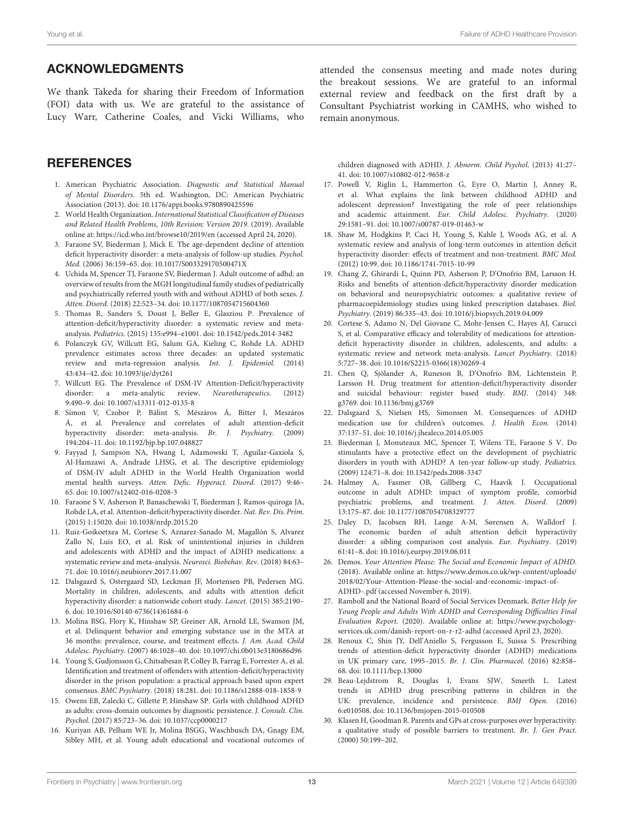### ACKNOWLEDGMENTS

We thank Takeda for sharing their Freedom of Information (FOI) data with us. We are grateful to the assistance of Lucy Warr, Catherine Coales, and Vicki Williams, who

### **REFERENCES**

- <span id="page-12-0"></span>1. American Psychiatric Association. Diagnostic and Statistical Manual of Mental Disorders. 5th ed. Washington, DC: American Psychiatric Association (2013). doi: [10.1176/appi.books.9780890425596](https://doi.org/10.1176/appi.books.9780890425596)
- <span id="page-12-1"></span>2. World Health Organization. International Statistical Classification of Diseases and Related Health Problems, 10th Revision: Version 2019. (2019). Available online at:<https://icd.who.int/browse10/2019/en> (accessed April 24, 2020).
- <span id="page-12-2"></span>3. Faraone SV, Biederman J, Mick E. The age-dependent decline of attention deficit hyperactivity disorder: a meta-analysis of follow-up studies. Psychol. Med. (2006) 36:159–65. doi: [10.1017/S003329170500471X](https://doi.org/10.1017/S003329170500471X)
- <span id="page-12-3"></span>4. Uchida M, Spencer TJ, Faraone SV, Biederman J. Adult outcome of adhd: an overview of results from the MGH longitudinal family studies of pediatrically and psychiatrically referred youth with and without ADHD of both sexes. J. Atten. Disord. (2018) 22:523–34. doi: [10.1177/1087054715604360](https://doi.org/10.1177/1087054715604360)
- <span id="page-12-4"></span>5. Thomas R, Sanders S, Doust J, Beller E, Glasziou P. Prevalence of attention-deficit/hyperactivity disorder: a systematic review and metaanalysis. Pediatrics. (2015) 135:e994–e1001. doi: [10.1542/peds.2014-3482](https://doi.org/10.1542/peds.2014-3482)
- <span id="page-12-5"></span>6. Polanczyk GV, Willcutt EG, Salum GA, Kieling C, Rohde LA. ADHD prevalence estimates across three decades: an updated systematic review and meta-regression analysis. Int. J. Epidemiol. (2014) 43:434–42. doi: [10.1093/ije/dyt261](https://doi.org/10.1093/ije/dyt261)
- <span id="page-12-6"></span>7. Willcutt EG. The Prevalence of DSM-IV Attention-Deficit/hyperactivity disorder: a meta-analytic review. Neurotherapeutics. (2012) 9:490–9. doi: [10.1007/s13311-012-0135-8](https://doi.org/10.1007/s13311-012-0135-8)
- 8. Simon V, Czobor P, Bálint S, Mészáros Á, Bitter I, Meszáros Á, et al. Prevalence and correlates of adult attention-deficit hyperactivity disorder: meta-analysis. Br. J. Psychiatry. (2009) 194:204–11. doi: [10.1192/bjp.bp.107.048827](https://doi.org/10.1192/bjp.bp.107.048827)
- <span id="page-12-7"></span>9. Fayyad J, Sampson NA, Hwang I, Adamowski T, Aguilar-Gaxiola S, Al-Hamzawi A, Andrade LHSG, et al. The descriptive epidemiology of DSM-IV adult ADHD in the World Health Organization world mental health surveys. Atten. Defic. Hyperact. Disord. (2017) 9:46– 65. doi: [10.1007/s12402-016-0208-3](https://doi.org/10.1007/s12402-016-0208-3)
- <span id="page-12-8"></span>10. Faraone S V, Asherson P, Banaschewski T, Biederman J, Ramos-quiroga JA, Rohde LA, et al. Attention-deficit/hyperactivity disorder. Nat. Rev. Dis. Prim. (2015) 1:15020. doi: [10.1038/nrdp.2015.20](https://doi.org/10.1038/nrdp.2015.20)
- <span id="page-12-9"></span>11. Ruiz-Goikoetxea M, Cortese S, Aznarez-Sanado M, Magallón S, Alvarez Zallo N, Luis EO, et al. Risk of unintentional injuries in children and adolescents with ADHD and the impact of ADHD medications: a systematic review and meta-analysis. Neurosci. Biobehav. Rev. (2018) 84:63– 71. doi: [10.1016/j.neubiorev.2017.11.007](https://doi.org/10.1016/j.neubiorev.2017.11.007)
- <span id="page-12-10"></span>12. Dalsgaard S, Ostergaard SD, Leckman JF, Mortensen PB, Pedersen MG. Mortality in children, adolescents, and adults with attention deficit hyperactivity disorder: a nationwide cohort study. Lancet. (2015) 385:2190– 6. doi: [10.1016/S0140-6736\(14\)61684-6](https://doi.org/10.1016/S0140-6736(14)61684-6)
- <span id="page-12-11"></span>13. Molina BSG, Flory K, Hinshaw SP, Greiner AR, Arnold LE, Swanson JM, et al. Delinquent behavior and emerging substance use in the MTA at 36 months: prevalence, course, and treatment effects. J. Am. Acad. Child Adolesc. Psychiatry. (2007) 46:1028–40. doi: [10.1097/chi.0b013e3180686d96](https://doi.org/10.1097/chi.0b013e3180686d96)
- <span id="page-12-12"></span>14. Young S, Gudjonsson G, Chitsabesan P, Colley B, Farrag E, Forrester A, et al. Identification and treatment of offenders with attention-deficit/hyperactivity disorder in the prison population: a practical approach based upon expert consensus. BMC Psychiatry. (2018) 18:281. doi: [10.1186/s12888-018-1858-9](https://doi.org/10.1186/s12888-018-1858-9)
- <span id="page-12-13"></span>15. Owens EB, Zalecki C, Gillette P, Hinshaw SP. Girls with childhood ADHD as adults: cross-domain outcomes by diagnostic persistence. J. Consult. Clin. Psychol. (2017) 85:723–36. doi: [10.1037/ccp0000217](https://doi.org/10.1037/ccp0000217)
- <span id="page-12-14"></span>16. Kuriyan AB, Pelham WE Jr, Molina BSGG, Waschbusch DA, Gnagy EM, Sibley MH, et al. Young adult educational and vocational outcomes of

attended the consensus meeting and made notes during the breakout sessions. We are grateful to an informal external review and feedback on the first draft by a Consultant Psychiatrist working in CAMHS, who wished to remain anonymous.

children diagnosed with ADHD. J. Abnorm. Child Psychol. (2013) 41:27– 41. doi: [10.1007/s10802-012-9658-z](https://doi.org/10.1007/s10802-012-9658-z)

- <span id="page-12-15"></span>17. Powell V, Riglin L, Hammerton G, Eyre O, Martin J, Anney R, et al. What explains the link between childhood ADHD and adolescent depression? Investigating the role of peer relationships and academic attainment. Eur. Child Adolesc. Psychiatry. (2020) 29:1581–91. doi: [10.1007/s00787-019-01463-w](https://doi.org/10.1007/s00787-019-01463-w)
- <span id="page-12-16"></span>18. Shaw M, Hodgkins P, Caci H, Young S, Kahle J, Woods AG, et al. A systematic review and analysis of long-term outcomes in attention deficit hyperactivity disorder: effects of treatment and non-treatment. BMC Med. (2012) 10:99. doi: [10.1186/1741-7015-10-99](https://doi.org/10.1186/1741-7015-10-99)
- <span id="page-12-17"></span>19. Chang Z, Ghirardi L, Quinn PD, Asherson P, D'Onofrio BM, Larsson H. Risks and benefits of attention-deficit/hyperactivity disorder medication on behavioral and neuropsychiatric outcomes: a qualitative review of pharmacoepidemiology studies using linked prescription databases. Biol. Psychiatry. (2019) 86:335–43. doi: [10.1016/j.biopsych.2019.04.009](https://doi.org/10.1016/j.biopsych.2019.04.009)
- <span id="page-12-18"></span>20. Cortese S, Adamo N, Del Giovane C, Mohr-Jensen C, Hayes AJ, Carucci S, et al. Comparative efficacy and tolerability of medications for attentiondeficit hyperactivity disorder in children, adolescents, and adults: a systematic review and network meta-analysis. Lancet Psychiatry. (2018) 5:727–38. doi: [10.1016/S2215-0366\(18\)30269-4](https://doi.org/10.1016/S2215-0366(18)30269-4)
- <span id="page-12-19"></span>21. Chen Q, Sjölander A, Runeson B, D'Onofrio BM, Lichtenstein P, Larsson H. Drug treatment for attention-deficit/hyperactivity disorder and suicidal behaviour: register based study. BMJ. (2014) 348: g3769. doi: [10.1136/bmj.g3769](https://doi.org/10.1136/bmj.g3769)
- <span id="page-12-20"></span>22. Dalsgaard S, Nielsen HS, Simonsen M. Consequences of ADHD medication use for children's outcomes. J. Health Econ. (2014) 37:137–51. doi: [10.1016/j.jhealeco.2014.05.005](https://doi.org/10.1016/j.jhealeco.2014.05.005)
- <span id="page-12-21"></span>23. Biederman J, Monuteaux MC, Spencer T, Wilens TE, Faraone S V. Do stimulants have a protective effect on the development of psychiatric disorders in youth with ADHD? A ten-year follow-up study. Pediatrics. (2009) 124:71–8. doi: [10.1542/peds.2008-3347](https://doi.org/10.1542/peds.2008-3347)
- <span id="page-12-22"></span>24. Halmøy A, Fasmer OB, Gillberg C, Haavik J. Occupational outcome in adult ADHD: impact of symptom profile, comorbid psychiatric problems, and treatment. J. Atten. Disord. (2009) 13:175–87. doi: [10.1177/1087054708329777](https://doi.org/10.1177/1087054708329777)
- <span id="page-12-23"></span>25. Daley D, Jacobsen RH, Lange A-M, Sørensen A, Walldorf J. The economic burden of adult attention deficit hyperactivity disorder: a sibling comparison cost analysis. Eur. Psychiatry. (2019) 61:41–8. doi: [10.1016/j.eurpsy.2019.06.011](https://doi.org/10.1016/j.eurpsy.2019.06.011)
- <span id="page-12-24"></span>26. Demos. Your Attention Please: The Social and Economic Impact of ADHD. (2018). Available online at: [https://www.demos.co.uk/wp-content/uploads/](https://www.demos.co.uk/wp-content/uploads/2018/02/Your-Attention-Please-the-social-and-economic-impact-of-ADHD-.pdf) [2018/02/Your-Attention-Please-the-social-and-economic-impact-of-](https://www.demos.co.uk/wp-content/uploads/2018/02/Your-Attention-Please-the-social-and-economic-impact-of-ADHD-.pdf)[ADHD-.pdf](https://www.demos.co.uk/wp-content/uploads/2018/02/Your-Attention-Please-the-social-and-economic-impact-of-ADHD-.pdf) (accessed November 6, 2019).
- <span id="page-12-25"></span>27. Ramboll and the National Board of Social Services Denmark. Better Help for Young People and Adults With ADHD and Corresponding Difficulties Final Evaluation Report. (2020). Available online at: [https://www.psychology](https://www.psychology-services.uk.com/danish-report-on-r-r2-adhd)[services.uk.com/danish-report-on-r-r2-adhd](https://www.psychology-services.uk.com/danish-report-on-r-r2-adhd) (accessed April 23, 2020).
- <span id="page-12-26"></span>28. Renoux C, Shin JY, Dell'Aniello S, Fergusson E, Suissa S. Prescribing trends of attention-deficit hyperactivity disorder (ADHD) medications in UK primary care, 1995–2015. Br. J. Clin. Pharmacol. (2016) 82:858– 68. doi: [10.1111/bcp.13000](https://doi.org/10.1111/bcp.13000)
- <span id="page-12-27"></span>29. Beau-Lejdstrom R, Douglas I, Evans SJW, Smeeth L. Latest trends in ADHD drug prescribing patterns in children in the UK: prevalence, incidence and persistence. BMJ Open. (2016) 6:e010508. doi: [10.1136/bmjopen-2015-010508](https://doi.org/10.1136/bmjopen-2015-010508)
- <span id="page-12-28"></span>30. Klasen H, Goodman R. Parents and GPs at cross-purposes over hyperactivity: a qualitative study of possible barriers to treatment. Br. J. Gen Pract. (2000) 50:199–202.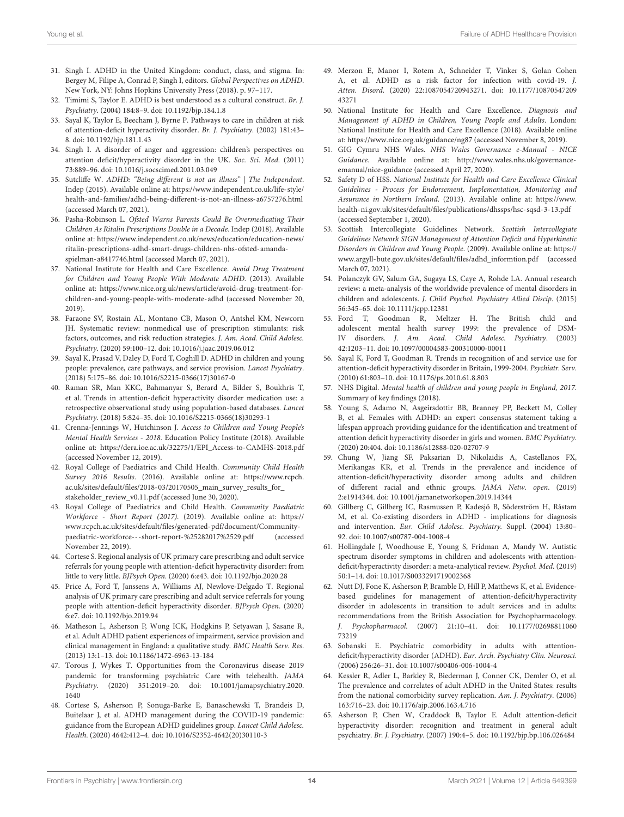- 31. Singh I. ADHD in the United Kingdom: conduct, class, and stigma. In: Bergey M, Filipe A, Conrad P, Singh I, editors. Global Perspectives on ADHD. New York, NY: Johns Hopkins University Press (2018). p. 97–117.
- 32. Timimi S, Taylor E. ADHD is best understood as a cultural construct. Br. J. Psychiatry. (2004) 184:8–9. doi: [10.1192/bjp.184.1.8](https://doi.org/10.1192/bjp.184.1.8)
- <span id="page-13-0"></span>33. Sayal K, Taylor E, Beecham J, Byrne P. Pathways to care in children at risk of attention-deficit hyperactivity disorder. Br. J. Psychiatry. (2002) 181:43– 8. doi: [10.1192/bjp.181.1.43](https://doi.org/10.1192/bjp.181.1.43)
- <span id="page-13-1"></span>34. Singh I. A disorder of anger and aggression: children's perspectives on attention deficit/hyperactivity disorder in the UK. Soc. Sci. Med. (2011) 73:889–96. doi: [10.1016/j.socscimed.2011.03.049](https://doi.org/10.1016/j.socscimed.2011.03.049)
- <span id="page-13-2"></span>35. Sutcliffe W. ADHD: "Being different is not an illness" | The Independent. Indep (2015). Available online at: [https://www.independent.co.uk/life-style/](https://www.independent.co.uk/life-style/health-and-families/adhd-being-different-is-not-an-illness-a6757276.html) [health-and-families/adhd-being-different-is-not-an-illness-a6757276.html](https://www.independent.co.uk/life-style/health-and-families/adhd-being-different-is-not-an-illness-a6757276.html) (accessed March 07, 2021).
- <span id="page-13-3"></span>36. Pasha-Robinson L. Ofsted Warns Parents Could Be Overmedicating Their Children As Ritalin Prescriptions Double in a Decade. Indep (2018). Available online at: [https://www.independent.co.uk/news/education/education-news/](https://www.independent.co.uk/news/education/education-news/ritalin-prescriptions-adhd-smart-drugs-children-nhs-ofsted-amanda-spielman-a8417746.html) [ritalin-prescriptions-adhd-smart-drugs-children-nhs-ofsted-amanda](https://www.independent.co.uk/news/education/education-news/ritalin-prescriptions-adhd-smart-drugs-children-nhs-ofsted-amanda-spielman-a8417746.html)[spielman-a8417746.html](https://www.independent.co.uk/news/education/education-news/ritalin-prescriptions-adhd-smart-drugs-children-nhs-ofsted-amanda-spielman-a8417746.html) (accessed March 07, 2021).
- <span id="page-13-4"></span>37. National Institute for Health and Care Excellence. Avoid Drug Treatment for Children and Young People With Moderate ADHD. (2013). Available online at: [https://www.nice.org.uk/news/article/avoid-drug-treatment-for](https://www.nice.org.uk/news/article/avoid-drug-treatment-for-children-and-young-people-with-moderate-adhd)[children-and-young-people-with-moderate-adhd](https://www.nice.org.uk/news/article/avoid-drug-treatment-for-children-and-young-people-with-moderate-adhd) (accessed November 20, 2019).
- <span id="page-13-5"></span>38. Faraone SV, Rostain AL, Montano CB, Mason O, Antshel KM, Newcorn JH. Systematic review: nonmedical use of prescription stimulants: risk factors, outcomes, and risk reduction strategies. J. Am. Acad. Child Adolesc. Psychiatry. (2020) 59:100–12. doi: [10.1016/j.jaac.2019.06.012](https://doi.org/10.1016/j.jaac.2019.06.012)
- <span id="page-13-6"></span>39. Sayal K, Prasad V, Daley D, Ford T, Coghill D. ADHD in children and young people: prevalence, care pathways, and service provision. Lancet Psychiatry. (2018) 5:175–86. doi: [10.1016/S2215-0366\(17\)30167-0](https://doi.org/10.1016/S2215-0366(17)30167-0)
- <span id="page-13-7"></span>40. Raman SR, Man KKC, Bahmanyar S, Berard A, Bilder S, Boukhris T, et al. Trends in attention-deficit hyperactivity disorder medication use: a retrospective observational study using population-based databases. Lancet Psychiatry. (2018) 5:824–35. doi: [10.1016/S2215-0366\(18\)30293-1](https://doi.org/10.1016/S2215-0366(18)30293-1)
- <span id="page-13-8"></span>41. Crenna-Jennings W, Hutchinson J. Access to Children and Young People's Mental Health Services - 2018. Education Policy Institute (2018). Available online at: [https://dera.ioe.ac.uk/32275/1/EPI\\_Access-to-CAMHS-2018.pdf](https://dera.ioe.ac.uk/32275/1/EPI_Access-to-CAMHS-2018.pdf) (accessed November 12, 2019).
- <span id="page-13-32"></span>42. Royal College of Paediatrics and Child Health. Community Child Health Survey 2016 Results. (2016). Available online at: [https://www.rcpch.](https://www.rcpch.ac.uk/sites/default/files/2018-03/20170505_main_survey_results_for_stakeholder_review_v0.11.pdf) [ac.uk/sites/default/files/2018-03/20170505\\_main\\_survey\\_results\\_for\\_](https://www.rcpch.ac.uk/sites/default/files/2018-03/20170505_main_survey_results_for_stakeholder_review_v0.11.pdf) [stakeholder\\_review\\_v0.11.pdf](https://www.rcpch.ac.uk/sites/default/files/2018-03/20170505_main_survey_results_for_stakeholder_review_v0.11.pdf) (accessed June 30, 2020).
- <span id="page-13-9"></span>43. Royal College of Paediatrics and Child Health. Community Paediatric Workforce - Short Report (2017). (2019). Available online at: [https://](https://www.rcpch.ac.uk/sites/default/files/generated-pdf/document/Community-paediatric-workforce---short-report-%25282017%2529.pdf) [www.rcpch.ac.uk/sites/default/files/generated-pdf/document/Community](https://www.rcpch.ac.uk/sites/default/files/generated-pdf/document/Community-paediatric-workforce---short-report-%25282017%2529.pdf)[paediatric-workforce---short-report-%25282017%2529.pdf](https://www.rcpch.ac.uk/sites/default/files/generated-pdf/document/Community-paediatric-workforce---short-report-%25282017%2529.pdf) (accessed November 22, 2019).
- <span id="page-13-10"></span>44. Cortese S. Regional analysis of UK primary care prescribing and adult service referrals for young people with attention-deficit hyperactivity disorder: from little to very little. BJPsych Open. (2020) 6:e43. doi: [10.1192/bjo.2020.28](https://doi.org/10.1192/bjo.2020.28)
- <span id="page-13-11"></span>45. Price A, Ford T, Janssens A, Williams AJ, Newlove-Delgado T. Regional analysis of UK primary care prescribing and adult service referrals for young people with attention-deficit hyperactivity disorder. BJPsych Open. (2020) 6:e7. doi: [10.1192/bjo.2019.94](https://doi.org/10.1192/bjo.2019.94)
- <span id="page-13-12"></span>46. Matheson L, Asherson P, Wong ICK, Hodgkins P, Setyawan J, Sasane R, et al. Adult ADHD patient experiences of impairment, service provision and clinical management in England: a qualitative study. BMC Health Serv. Res. (2013) 13:1–13. doi: [10.1186/1472-6963-13-184](https://doi.org/10.1186/1472-6963-13-184)
- <span id="page-13-13"></span>47. Torous J, Wykes T. Opportunities from the Coronavirus disease 2019 pandemic for transforming psychiatric Care with telehealth. JAMA Psychiatry[. \(2020\) 351:2019–20. doi: 10.1001/jamapsychiatry.2020.](https://doi.org/10.1001/jamapsychiatry.2020.1640) 1640
- <span id="page-13-14"></span>48. Cortese S, Asherson P, Sonuga-Barke E, Banaschewski T, Brandeis D, Buitelaar J, et al. ADHD management during the COVID-19 pandemic: guidance from the European ADHD guidelines group. Lancet Child Adolesc. Health. (2020) 4642:412–4. doi: [10.1016/S2352-4642\(20\)30110-3](https://doi.org/10.1016/S2352-4642(20)30110-3)
- <span id="page-13-15"></span>49. Merzon E, Manor I, Rotem A, Schneider T, Vinker S, Golan Cohen A, et al. ADHD as a risk factor for infection with covid-19. J. Atten. Disord[. \(2020\) 22:1087054720943271. doi: 10.1177/10870547209](https://doi.org/10.1177/1087054720943271) 43271
- <span id="page-13-16"></span>50. National Institute for Health and Care Excellence. Diagnosis and Management of ADHD in Children, Young People and Adults. London: National Institute for Health and Care Excellence (2018). Available online at:<https://www.nice.org.uk/guidance/ng87> (accessed November 8, 2019).
- <span id="page-13-17"></span>51. GIG Cymru NHS Wales. NHS Wales Governance e-Manual - NICE Guidance. Available online at: [http://www.wales.nhs.uk/governance](http://www.wales.nhs.uk/governance-emanual/nice-guidance)[emanual/nice-guidance](http://www.wales.nhs.uk/governance-emanual/nice-guidance) (accessed April 27, 2020).
- <span id="page-13-18"></span>52. Safety D of HSS. National Institute for Health and Care Excellence Clinical Guidelines - Process for Endorsement, Implementation, Monitoring and Assurance in Northern Ireland. (2013). Available online at: [https://www.](https://www.health-ni.gov.uk/sites/default/files/publications/dhssps/hsc-sqsd-3-13.pdf) [health-ni.gov.uk/sites/default/files/publications/dhssps/hsc-sqsd-3-13.pdf](https://www.health-ni.gov.uk/sites/default/files/publications/dhssps/hsc-sqsd-3-13.pdf) (accessed September 1, 2020).
- <span id="page-13-19"></span>53. Scottish Intercollegiate Guidelines Network. Scottish Intercollegiate Guidelines Network SIGN Management of Attention Deficit and Hyperkinetic Disorders in Children and Young People. (2009). Available online at: [https://](https://www.argyll-bute.gov.uk/sites/default/files/adhd_informtion.pdf) [www.argyll-bute.gov.uk/sites/default/files/adhd\\_informtion.pdf](https://www.argyll-bute.gov.uk/sites/default/files/adhd_informtion.pdf) (accessed March 07, 2021).
- <span id="page-13-20"></span>54. Polanczyk GV, Salum GA, Sugaya LS, Caye A, Rohde LA. Annual research review: a meta-analysis of the worldwide prevalence of mental disorders in children and adolescents. J. Child Psychol. Psychiatry Allied Discip. (2015) 56:345–65. doi: [10.1111/jcpp.12381](https://doi.org/10.1111/jcpp.12381)
- <span id="page-13-21"></span>55. Ford T, Goodman R, Meltzer H. The British child and adolescent mental health survey 1999: the prevalence of DSM-IV disorders. J. Am. Acad. Child Adolesc. Psychiatry. (2003) 42:1203–11. doi: [10.1097/00004583-200310000-00011](https://doi.org/10.1097/00004583-200310000-00011)
- <span id="page-13-22"></span>56. Sayal K, Ford T, Goodman R. Trends in recognition of and service use for attention-deficit hyperactivity disorder in Britain, 1999-2004. Psychiatr. Serv. (2010) 61:803–10. doi: [10.1176/ps.2010.61.8.803](https://doi.org/10.1176/ps.2010.61.8.803)
- <span id="page-13-23"></span>57. NHS Digital. Mental health of children and young people in England, 2017. Summary of key findings (2018).
- <span id="page-13-24"></span>58. Young S, Adamo N, Asgeirsdottir BB, Branney PP, Beckett M, Colley B, et al. Females with ADHD: an expert consensus statement taking a lifespan approach providing guidance for the identification and treatment of attention deficit hyperactivity disorder in girls and women. BMC Psychiatry. (2020) 20:404. doi: [10.1186/s12888-020-02707-9](https://doi.org/10.1186/s12888-020-02707-9)
- <span id="page-13-25"></span>59. Chung W, Jiang SF, Paksarian D, Nikolaidis A, Castellanos FX, Merikangas KR, et al. Trends in the prevalence and incidence of attention-deficit/hyperactivity disorder among adults and children of different racial and ethnic groups. JAMA Netw. open. (2019) 2:e1914344. doi: [10.1001/jamanetworkopen.2019.14344](https://doi.org/10.1001/jamanetworkopen.2019.14344)
- <span id="page-13-26"></span>60. Gillberg C, Gillberg IC, Rasmussen P, Kadesjö B, Söderström H, Råstam M, et al. Co-existing disorders in ADHD - implications for diagnosis and intervention. Eur. Child Adolesc. Psychiatry. Suppl. (2004) 13:80– 92. doi: [10.1007/s00787-004-1008-4](https://doi.org/10.1007/s00787-004-1008-4)
- <span id="page-13-27"></span>61. Hollingdale J, Woodhouse E, Young S, Fridman A, Mandy W. Autistic spectrum disorder symptoms in children and adolescents with attentiondeficit/hyperactivity disorder: a meta-analytical review. Psychol. Med. (2019) 50:1–14. doi: [10.1017/S0033291719002368](https://doi.org/10.1017/S0033291719002368)
- <span id="page-13-28"></span>62. Nutt DJ, Fone K, Asherson P, Bramble D, Hill P, Matthews K, et al. Evidencebased guidelines for management of attention-deficit/hyperactivity disorder in adolescents in transition to adult services and in adults: recommendations from the British Association for Psychopharmacology. J. Psychopharmacol[. \(2007\) 21:10–41. doi: 10.1177/02698811060](https://doi.org/10.1177/0269881106073219) 73219
- <span id="page-13-29"></span>63. Sobanski E. Psychiatric comorbidity in adults with attentiondeficit/hyperactivity disorder (ADHD). Eur. Arch. Psychiatry Clin. Neurosci. (2006) 256:26–31. doi: [10.1007/s00406-006-1004-4](https://doi.org/10.1007/s00406-006-1004-4)
- <span id="page-13-30"></span>64. Kessler R, Adler L, Barkley R, Biederman J, Conner CK, Demler O, et al. The prevalence and correlates of adult ADHD in the United States: results from the national comorbidity survey replication. Am. J. Psychiatry. (2006) 163:716–23. doi: [10.1176/ajp.2006.163.4.716](https://doi.org/10.1176/ajp.2006.163.4.716)
- <span id="page-13-31"></span>65. Asherson P, Chen W, Craddock B, Taylor E. Adult attention-deficit hyperactivity disorder: recognition and treatment in general adult psychiatry. Br. J. Psychiatry. (2007) 190:4–5. doi: [10.1192/bjp.bp.106.026484](https://doi.org/10.1192/bjp.bp.106.026484)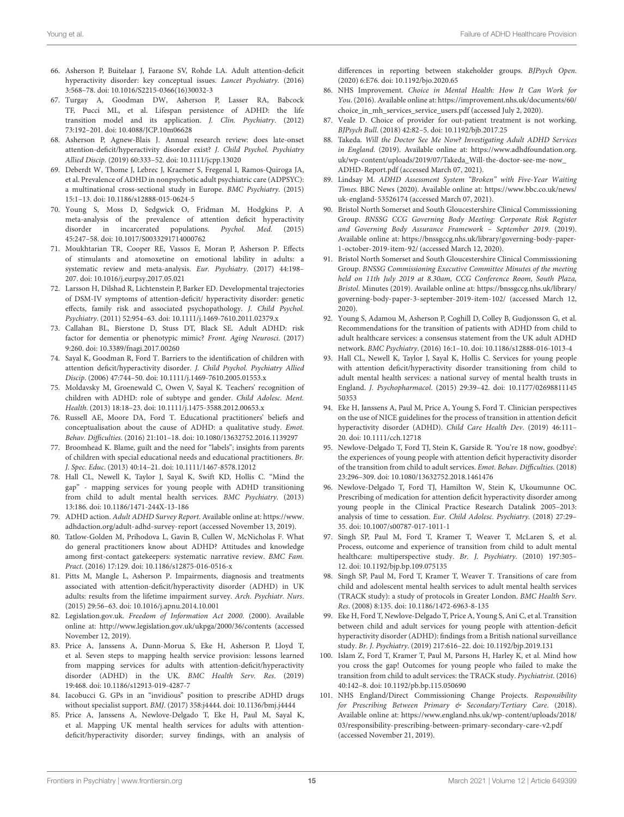- <span id="page-14-0"></span>66. Asherson P, Buitelaar J, Faraone SV, Rohde LA. Adult attention-deficit hyperactivity disorder: key conceptual issues. Lancet Psychiatry. (2016) 3:568–78. doi: [10.1016/S2215-0366\(16\)30032-3](https://doi.org/10.1016/S2215-0366(16)30032-3)
- <span id="page-14-1"></span>67. Turgay A, Goodman DW, Asherson P, Lasser RA, Babcock TF, Pucci ML, et al. Lifespan persistence of ADHD: the life transition model and its application. J. Clin. Psychiatry. (2012) 73:192–201. doi: [10.4088/JCP.10m06628](https://doi.org/10.4088/JCP.10m06628)
- <span id="page-14-2"></span>68. Asherson P, Agnew-Blais J. Annual research review: does late-onset attention-deficit/hyperactivity disorder exist? J. Child Psychol. Psychiatry Allied Discip. (2019) 60:333–52. doi: [10.1111/jcpp.13020](https://doi.org/10.1111/jcpp.13020)
- <span id="page-14-3"></span>69. Deberdt W, Thome J, Lebrec J, Kraemer S, Fregenal I, Ramos-Quiroga JA, et al. Prevalence of ADHD in nonpsychotic adult psychiatric care (ADPSYC): a multinational cross-sectional study in Europe. BMC Psychiatry. (2015) 15:1–13. doi: [10.1186/s12888-015-0624-5](https://doi.org/10.1186/s12888-015-0624-5)
- <span id="page-14-4"></span>70. Young S, Moss D, Sedgwick O, Fridman M, Hodgkins P. A meta-analysis of the prevalence of attention deficit hyperactivity disorder in incarcerated populations. Psychol. Med. (2015) 45:247–58. doi: [10.1017/S0033291714000762](https://doi.org/10.1017/S0033291714000762)
- <span id="page-14-5"></span>71. Moukhtarian TR, Cooper RE, Vassos E, Moran P, Asherson P. Effects of stimulants and atomoxetine on emotional lability in adults: a systematic review and meta-analysis. Eur. Psychiatry. (2017) 44:198– 207. doi: [10.1016/j.eurpsy.2017.05.021](https://doi.org/10.1016/j.eurpsy.2017.05.021)
- <span id="page-14-6"></span>72. Larsson H, Dilshad R, Lichtenstein P, Barker ED. Developmental trajectories of DSM-IV symptoms of attention-deficit/ hyperactivity disorder: genetic effects, family risk and associated psychopathology. J. Child Psychol. Psychiatry. (2011) 52:954–63. doi: [10.1111/j.1469-7610.2011.02379.x](https://doi.org/10.1111/j.1469-7610.2011.02379.x)
- <span id="page-14-7"></span>73. Callahan BL, Bierstone D, Stuss DT, Black SE. Adult ADHD: risk factor for dementia or phenotypic mimic? Front. Aging Neurosci. (2017) 9:260. doi: [10.3389/fnagi.2017.00260](https://doi.org/10.3389/fnagi.2017.00260)
- <span id="page-14-8"></span>74. Sayal K, Goodman R, Ford T. Barriers to the identification of children with attention deficit/hyperactivity disorder. J. Child Psychol. Psychiatry Allied Discip. (2006) 47:744–50. doi: [10.1111/j.1469-7610.2005.01553.x](https://doi.org/10.1111/j.1469-7610.2005.01553.x)
- <span id="page-14-9"></span>75. Moldavsky M, Groenewald C, Owen V, Sayal K. Teachers' recognition of children with ADHD: role of subtype and gender. Child Adolesc. Ment. Health. (2013) 18:18–23. doi: [10.1111/j.1475-3588.2012.00653.x](https://doi.org/10.1111/j.1475-3588.2012.00653.x)
- <span id="page-14-10"></span>76. Russell AE, Moore DA, Ford T. Educational practitioners' beliefs and conceptualisation about the cause of ADHD: a qualitative study. Emot. Behav. Difficulties. (2016) 21:101–18. doi: [10.1080/13632752.2016.1139297](https://doi.org/10.1080/13632752.2016.1139297)
- <span id="page-14-11"></span>77. Broomhead K. Blame, guilt and the need for "labels"; insights from parents of children with special educational needs and educational practitioners. Br. J. Spec. Educ. (2013) 40:14–21. doi: [10.1111/1467-8578.12012](https://doi.org/10.1111/1467-8578.12012)
- <span id="page-14-12"></span>78. Hall CL, Newell K, Taylor J, Sayal K, Swift KD, Hollis C. "Mind the gap" - mapping services for young people with ADHD transitioning from child to adult mental health services. BMC Psychiatry. (2013) 13:186. doi: [10.1186/1471-244X-13-186](https://doi.org/10.1186/1471-244X-13-186)
- <span id="page-14-13"></span>79. ADHD action. Adult ADHD Survey Report. Available online at: [https://www.](https://www.adhdaction.org/adult-adhd-survey-report) [adhdaction.org/adult-adhd-survey-report](https://www.adhdaction.org/adult-adhd-survey-report) (accessed November 13, 2019).
- <span id="page-14-14"></span>80. Tatlow-Golden M, Prihodova L, Gavin B, Cullen W, McNicholas F. What do general practitioners know about ADHD? Attitudes and knowledge among first-contact gatekeepers: systematic narrative review. BMC Fam. Pract. (2016) 17:129. doi: [10.1186/s12875-016-0516-x](https://doi.org/10.1186/s12875-016-0516-x)
- <span id="page-14-15"></span>81. Pitts M, Mangle L, Asherson P. Impairments, diagnosis and treatments associated with attention-deficit/hyperactivity disorder (ADHD) in UK adults: results from the lifetime impairment survey. Arch. Psychiatr. Nurs. (2015) 29:56–63. doi: [10.1016/j.apnu.2014.10.001](https://doi.org/10.1016/j.apnu.2014.10.001)
- <span id="page-14-16"></span>82. [Legislation.gov.uk.](https://www.legislation.gov.uk/) Freedom of Information Act 2000. (2000). Available online at:<http://www.legislation.gov.uk/ukpga/2000/36/contents> (accessed November 12, 2019).
- <span id="page-14-17"></span>83. Price A, Janssens A, Dunn-Morua S, Eke H, Asherson P, Lloyd T, et al. Seven steps to mapping health service provision: lessons learned from mapping services for adults with attention-deficit/hyperactivity disorder (ADHD) in the UK. BMC Health Serv. Res. (2019) 19:468. doi: [10.1186/s12913-019-4287-7](https://doi.org/10.1186/s12913-019-4287-7)
- <span id="page-14-18"></span>84. Iacobucci G. GPs in an "invidious" position to prescribe ADHD drugs without specialist support. BMJ. (2017) 358:j4444. doi: [10.1136/bmj.j4444](https://doi.org/10.1136/bmj.j4444)
- <span id="page-14-19"></span>85. Price A, Janssens A, Newlove-Delgado T, Eke H, Paul M, Sayal K, et al. Mapping UK mental health services for adults with attentiondeficit/hyperactivity disorder; survey findings, with an analysis of

differences in reporting between stakeholder groups. BJPsych Open. (2020) 6:E76. doi: [10.1192/bjo.2020.65](https://doi.org/10.1192/bjo.2020.65)

- <span id="page-14-20"></span>86. NHS Improvement. Choice in Mental Health: How It Can Work for You. (2016). Available online at: [https://improvement.nhs.uk/documents/60/](https://improvement.nhs.uk/documents/60/choice_in_mh_services_service_users.pdf) [choice\\_in\\_mh\\_services\\_service\\_users.pdf](https://improvement.nhs.uk/documents/60/choice_in_mh_services_service_users.pdf) (accessed July 2, 2020).
- <span id="page-14-21"></span>87. Veale D. Choice of provider for out-patient treatment is not working. BJPsych Bull. (2018) 42:82–5. doi: [10.1192/bjb.2017.25](https://doi.org/10.1192/bjb.2017.25)
- <span id="page-14-22"></span>88. Takeda. Will the Doctor See Me Now? Investigating Adult ADHD Services in England. (2019). Available online at: [https://www.adhdfoundation.org.](https://www.adhdfoundation.org.uk/wp-content/uploads/2019/07/Takeda_Will-the-doctor-see-me-now_ADHD-Report.pdf) [uk/wp-content/uploads/2019/07/Takeda\\_Will-the-doctor-see-me-now\\_](https://www.adhdfoundation.org.uk/wp-content/uploads/2019/07/Takeda_Will-the-doctor-see-me-now_ADHD-Report.pdf) [ADHD-Report.pdf](https://www.adhdfoundation.org.uk/wp-content/uploads/2019/07/Takeda_Will-the-doctor-see-me-now_ADHD-Report.pdf) (accessed March 07, 2021).
- <span id="page-14-23"></span>89. Lindsay M. ADHD Assessment System "Broken" with Five-Year Waiting Times. BBC News (2020). Available online at: [https://www.bbc.co.uk/news/](https://www.bbc.co.uk/news/uk-england-53526174) [uk-england-53526174](https://www.bbc.co.uk/news/uk-england-53526174) (accessed March 07, 2021).
- <span id="page-14-24"></span>90. Bristol North Somerset and South Gloucestershire Clinical Commisssioning Group. BNSSG CCG Governing Body Meeting: Corporate Risk Register and Governing Body Assurance Framework – September 2019. (2019). Available online at: [https://bnssgccg.nhs.uk/library/governing-body-paper-](https://bnssgccg.nhs.uk/library/governing-body-paper-1-october-2019-item-92/)[1-october-2019-item-92/](https://bnssgccg.nhs.uk/library/governing-body-paper-1-october-2019-item-92/) (accessed March 12, 2020).
- <span id="page-14-25"></span>91. Bristol North Somerset and South Gloucestershire Clinical Commisssioning Group. BNSSG Commissioning Executive Committee Minutes of the meeting held on 11th July 2019 at 8.30am, CCG Conference Room, South Plaza, Bristol. Minutes (2019). Available online at: [https://bnssgccg.nhs.uk/library/](https://bnssgccg.nhs.uk/library/governing-body-paper-3-september-2019-item-102/) [governing-body-paper-3-september-2019-item-102/](https://bnssgccg.nhs.uk/library/governing-body-paper-3-september-2019-item-102/) (accessed March 12, 2020).
- <span id="page-14-26"></span>92. Young S, Adamou M, Asherson P, Coghill D, Colley B, Gudjonsson G, et al. Recommendations for the transition of patients with ADHD from child to adult healthcare services: a consensus statement from the UK adult ADHD network. BMC Psychiatry. (2016) 16:1–10. doi: [10.1186/s12888-016-1013-4](https://doi.org/10.1186/s12888-016-1013-4)
- <span id="page-14-27"></span>93. Hall CL, Newell K, Taylor J, Sayal K, Hollis C. Services for young people with attention deficit/hyperactivity disorder transitioning from child to adult mental health services: a national survey of mental health trusts in England. J. Psychopharmacol[. \(2015\) 29:39–42. doi: 10.1177/02698811145](https://doi.org/10.1177/0269881114550353) 50353
- <span id="page-14-28"></span>94. Eke H, Janssens A, Paul M, Price A, Young S, Ford T. Clinician perspectives on the use of NICE guidelines for the process of transition in attention deficit hyperactivity disorder (ADHD). Child Care Health Dev. (2019) 46:111– 20. doi: [10.1111/cch.12718](https://doi.org/10.1111/cch.12718)
- <span id="page-14-29"></span>95. Newlove-Delgado T, Ford TJ, Stein K, Garside R. 'You're 18 now, goodbye': the experiences of young people with attention deficit hyperactivity disorder of the transition from child to adult services. Emot. Behav. Difficulties. (2018) 23:296–309. doi: [10.1080/13632752.2018.1461476](https://doi.org/10.1080/13632752.2018.1461476)
- <span id="page-14-30"></span>96. Newlove-Delgado T, Ford TJ, Hamilton W, Stein K, Ukoumunne OC. Prescribing of medication for attention deficit hyperactivity disorder among young people in the Clinical Practice Research Datalink 2005–2013: analysis of time to cessation. Eur. Child Adolesc. Psychiatry. (2018) 27:29– 35. doi: [10.1007/s00787-017-1011-1](https://doi.org/10.1007/s00787-017-1011-1)
- <span id="page-14-31"></span>97. Singh SP, Paul M, Ford T, Kramer T, Weaver T, McLaren S, et al. Process, outcome and experience of transition from child to adult mental healthcare: multiperspective study. Br. J. Psychiatry. (2010) 197:305– 12. doi: [10.1192/bjp.bp.109.075135](https://doi.org/10.1192/bjp.bp.109.075135)
- Singh SP, Paul M, Ford T, Kramer T, Weaver T. Transitions of care from child and adolescent mental health services to adult mental health services (TRACK study): a study of protocols in Greater London. BMC Health Serv. Res. (2008) 8:135. doi: [10.1186/1472-6963-8-135](https://doi.org/10.1186/1472-6963-8-135)
- <span id="page-14-32"></span>99. Eke H, Ford T, Newlove-Delgado T, Price A, Young S, Ani C, et al. Transition between child and adult services for young people with attention-deficit hyperactivity disorder (ADHD): findings from a British national surveillance study. Br. J. Psychiatry. (2019) 217:616–22. doi: [10.1192/bjp.2019.131](https://doi.org/10.1192/bjp.2019.131)
- <span id="page-14-33"></span>100. Islam Z, Ford T, Kramer T, Paul M, Parsons H, Harley K, et al. Mind how you cross the gap! Outcomes for young people who failed to make the transition from child to adult services: the TRACK study. Psychiatrist. (2016) 40:142–8. doi: [10.1192/pb.bp.115.050690](https://doi.org/10.1192/pb.bp.115.050690)
- <span id="page-14-34"></span>101. NHS England/Direct Commissioning Change Projects. Responsibility for Prescribing Between Primary & Secondary/Tertiary Care. (2018). Available online at: [https://www.england.nhs.uk/wp-content/uploads/2018/](https://www.england.nhs.uk/wp-content/uploads/2018/03/responsibility-prescribing-between-primary-secondary-care-v2.pdf) [03/responsibility-prescribing-between-primary-secondary-care-v2.pdf](https://www.england.nhs.uk/wp-content/uploads/2018/03/responsibility-prescribing-between-primary-secondary-care-v2.pdf) (accessed November 21, 2019).